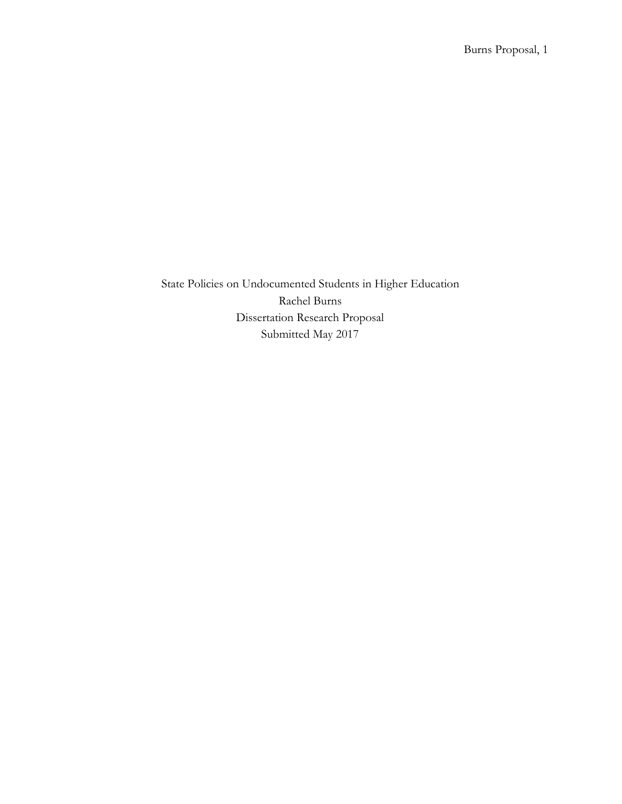State Policies on Undocumented Students in Higher Education Rachel Burns Dissertation Research Proposal Submitted May 2017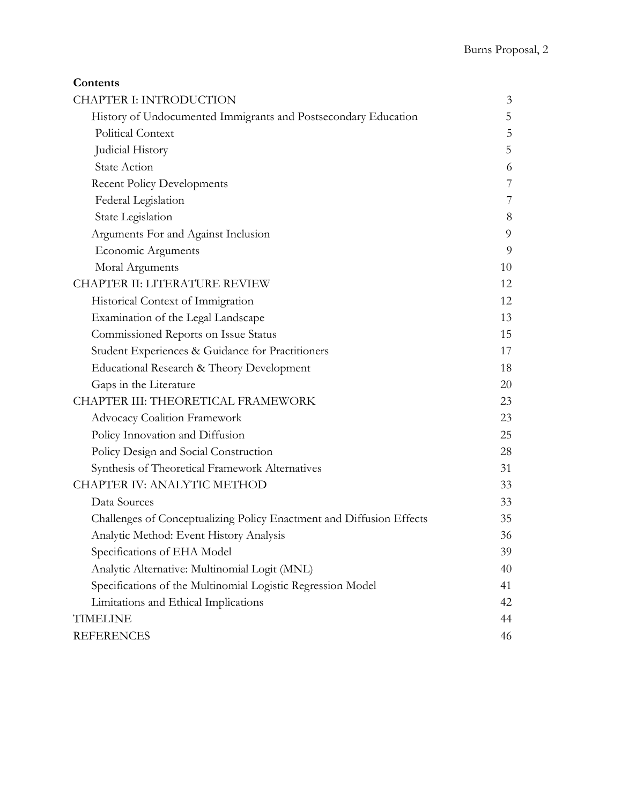| Contents                                                             |    |  |
|----------------------------------------------------------------------|----|--|
| <b>CHAPTER I: INTRODUCTION</b>                                       | 3  |  |
| History of Undocumented Immigrants and Postsecondary Education       | 5  |  |
| <b>Political Context</b>                                             | 5  |  |
| Judicial History                                                     | 5  |  |
| <b>State Action</b>                                                  | 6  |  |
| <b>Recent Policy Developments</b>                                    | 7  |  |
| Federal Legislation                                                  | 7  |  |
| State Legislation                                                    | 8  |  |
| Arguments For and Against Inclusion                                  | 9  |  |
| Economic Arguments                                                   | 9  |  |
| Moral Arguments                                                      | 10 |  |
| CHAPTER II: LITERATURE REVIEW                                        | 12 |  |
| Historical Context of Immigration                                    | 12 |  |
| Examination of the Legal Landscape                                   | 13 |  |
| Commissioned Reports on Issue Status                                 | 15 |  |
| Student Experiences & Guidance for Practitioners                     | 17 |  |
| Educational Research & Theory Development                            | 18 |  |
| Gaps in the Literature                                               | 20 |  |
| CHAPTER III: THEORETICAL FRAMEWORK                                   | 23 |  |
| <b>Advocacy Coalition Framework</b>                                  | 23 |  |
| Policy Innovation and Diffusion                                      |    |  |
| Policy Design and Social Construction                                | 28 |  |
| Synthesis of Theoretical Framework Alternatives                      | 31 |  |
| CHAPTER IV: ANALYTIC METHOD                                          |    |  |
| Data Sources                                                         | 33 |  |
| Challenges of Conceptualizing Policy Enactment and Diffusion Effects | 35 |  |
| Analytic Method: Event History Analysis                              | 36 |  |
| Specifications of EHA Model                                          | 39 |  |
| Analytic Alternative: Multinomial Logit (MNL)                        | 40 |  |
| Specifications of the Multinomial Logistic Regression Model          | 41 |  |
| Limitations and Ethical Implications                                 | 42 |  |
| <b>TIMELINE</b>                                                      | 44 |  |
| <b>REFERENCES</b>                                                    | 46 |  |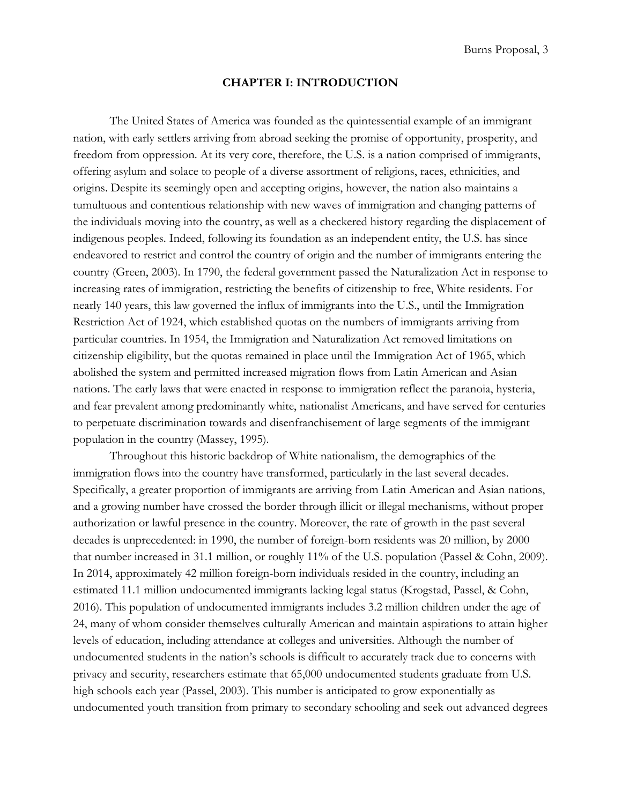# **CHAPTER I: INTRODUCTION**

<span id="page-2-0"></span>The United States of America was founded as the quintessential example of an immigrant nation, with early settlers arriving from abroad seeking the promise of opportunity, prosperity, and freedom from oppression. At its very core, therefore, the U.S. is a nation comprised of immigrants, offering asylum and solace to people of a diverse assortment of religions, races, ethnicities, and origins. Despite its seemingly open and accepting origins, however, the nation also maintains a tumultuous and contentious relationship with new waves of immigration and changing patterns of the individuals moving into the country, as well as a checkered history regarding the displacement of indigenous peoples. Indeed, following its foundation as an independent entity, the U.S. has since endeavored to restrict and control the country of origin and the number of immigrants entering the country (Green, 2003). In 1790, the federal government passed the Naturalization Act in response to increasing rates of immigration, restricting the benefits of citizenship to free, White residents. For nearly 140 years, this law governed the influx of immigrants into the U.S., until the Immigration Restriction Act of 1924, which established quotas on the numbers of immigrants arriving from particular countries. In 1954, the Immigration and Naturalization Act removed limitations on citizenship eligibility, but the quotas remained in place until the Immigration Act of 1965, which abolished the system and permitted increased migration flows from Latin American and Asian nations. The early laws that were enacted in response to immigration reflect the paranoia, hysteria, and fear prevalent among predominantly white, nationalist Americans, and have served for centuries to perpetuate discrimination towards and disenfranchisement of large segments of the immigrant population in the country (Massey, 1995).

Throughout this historic backdrop of White nationalism, the demographics of the immigration flows into the country have transformed, particularly in the last several decades. Specifically, a greater proportion of immigrants are arriving from Latin American and Asian nations, and a growing number have crossed the border through illicit or illegal mechanisms, without proper authorization or lawful presence in the country. Moreover, the rate of growth in the past several decades is unprecedented: in 1990, the number of foreign-born residents was 20 million, by 2000 that number increased in 31.1 million, or roughly 11% of the U.S. population (Passel & Cohn, 2009). In 2014, approximately 42 million foreign-born individuals resided in the country, including an estimated 11.1 million undocumented immigrants lacking legal status (Krogstad, Passel, & Cohn, 2016). This population of undocumented immigrants includes 3.2 million children under the age of 24, many of whom consider themselves culturally American and maintain aspirations to attain higher levels of education, including attendance at colleges and universities. Although the number of undocumented students in the nation's schools is difficult to accurately track due to concerns with privacy and security, researchers estimate that 65,000 undocumented students graduate from U.S. high schools each year (Passel, 2003). This number is anticipated to grow exponentially as undocumented youth transition from primary to secondary schooling and seek out advanced degrees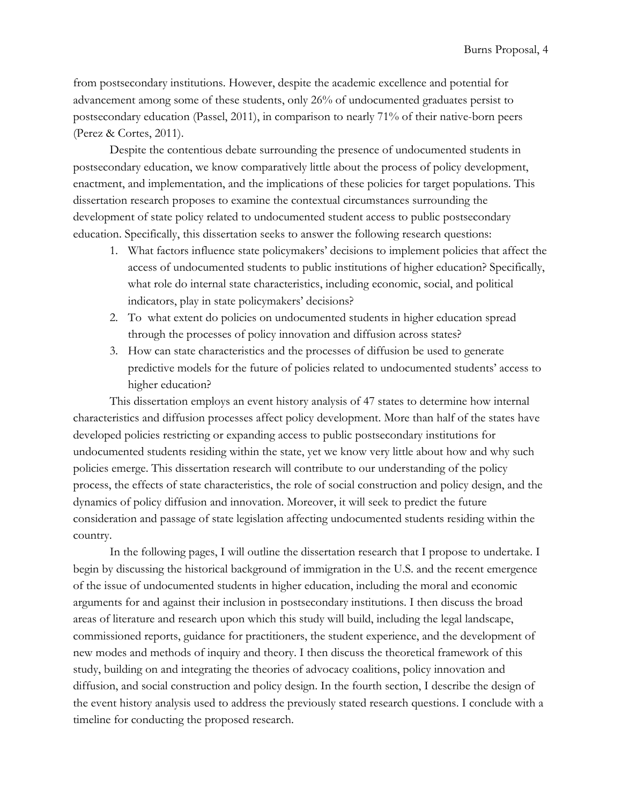from postsecondary institutions. However, despite the academic excellence and potential for advancement among some of these students, only 26% of undocumented graduates persist to postsecondary education (Passel, 2011), in comparison to nearly 71% of their native-born peers (Perez & Cortes, 2011).

Despite the contentious debate surrounding the presence of undocumented students in postsecondary education, we know comparatively little about the process of policy development, enactment, and implementation, and the implications of these policies for target populations. This dissertation research proposes to examine the contextual circumstances surrounding the development of state policy related to undocumented student access to public postsecondary education. Specifically, this dissertation seeks to answer the following research questions:

- 1. What factors influence state policymakers' decisions to implement policies that affect the access of undocumented students to public institutions of higher education? Specifically, what role do internal state characteristics, including economic, social, and political indicators, play in state policymakers' decisions?
- 2. To what extent do policies on undocumented students in higher education spread through the processes of policy innovation and diffusion across states?
- 3. How can state characteristics and the processes of diffusion be used to generate predictive models for the future of policies related to undocumented students' access to higher education?

This dissertation employs an event history analysis of 47 states to determine how internal characteristics and diffusion processes affect policy development. More than half of the states have developed policies restricting or expanding access to public postsecondary institutions for undocumented students residing within the state, yet we know very little about how and why such policies emerge. This dissertation research will contribute to our understanding of the policy process, the effects of state characteristics, the role of social construction and policy design, and the dynamics of policy diffusion and innovation. Moreover, it will seek to predict the future consideration and passage of state legislation affecting undocumented students residing within the country.

In the following pages, I will outline the dissertation research that I propose to undertake. I begin by discussing the historical background of immigration in the U.S. and the recent emergence of the issue of undocumented students in higher education, including the moral and economic arguments for and against their inclusion in postsecondary institutions. I then discuss the broad areas of literature and research upon which this study will build, including the legal landscape, commissioned reports, guidance for practitioners, the student experience, and the development of new modes and methods of inquiry and theory. I then discuss the theoretical framework of this study, building on and integrating the theories of advocacy coalitions, policy innovation and diffusion, and social construction and policy design. In the fourth section, I describe the design of the event history analysis used to address the previously stated research questions. I conclude with a timeline for conducting the proposed research.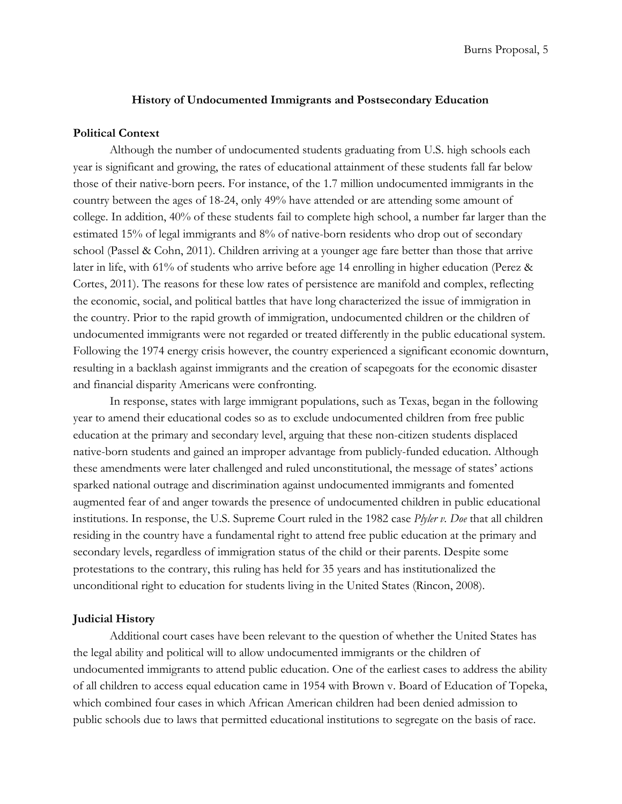## **History of Undocumented Immigrants and Postsecondary Education**

## <span id="page-4-1"></span><span id="page-4-0"></span>**Political Context**

Although the number of undocumented students graduating from U.S. high schools each year is significant and growing, the rates of educational attainment of these students fall far below those of their native-born peers. For instance, of the 1.7 million undocumented immigrants in the country between the ages of 18-24, only 49% have attended or are attending some amount of college. In addition, 40% of these students fail to complete high school, a number far larger than the estimated 15% of legal immigrants and 8% of native-born residents who drop out of secondary school (Passel & Cohn, 2011). Children arriving at a younger age fare better than those that arrive later in life, with 61% of students who arrive before age 14 enrolling in higher education (Perez & Cortes, 2011). The reasons for these low rates of persistence are manifold and complex, reflecting the economic, social, and political battles that have long characterized the issue of immigration in the country. Prior to the rapid growth of immigration, undocumented children or the children of undocumented immigrants were not regarded or treated differently in the public educational system. Following the 1974 energy crisis however, the country experienced a significant economic downturn, resulting in a backlash against immigrants and the creation of scapegoats for the economic disaster and financial disparity Americans were confronting.

In response, states with large immigrant populations, such as Texas, began in the following year to amend their educational codes so as to exclude undocumented children from free public education at the primary and secondary level, arguing that these non-citizen students displaced native-born students and gained an improper advantage from publicly-funded education. Although these amendments were later challenged and ruled unconstitutional, the message of states' actions sparked national outrage and discrimination against undocumented immigrants and fomented augmented fear of and anger towards the presence of undocumented children in public educational institutions. In response, the U.S. Supreme Court ruled in the 1982 case *Plyler v. Doe* that all children residing in the country have a fundamental right to attend free public education at the primary and secondary levels, regardless of immigration status of the child or their parents. Despite some protestations to the contrary, this ruling has held for 35 years and has institutionalized the unconditional right to education for students living in the United States (Rincon, 2008).

## <span id="page-4-2"></span>**Judicial History**

Additional court cases have been relevant to the question of whether the United States has the legal ability and political will to allow undocumented immigrants or the children of undocumented immigrants to attend public education. One of the earliest cases to address the ability of all children to access equal education came in 1954 with Brown v. Board of Education of Topeka, which combined four cases in which African American children had been denied admission to public schools due to laws that permitted educational institutions to segregate on the basis of race.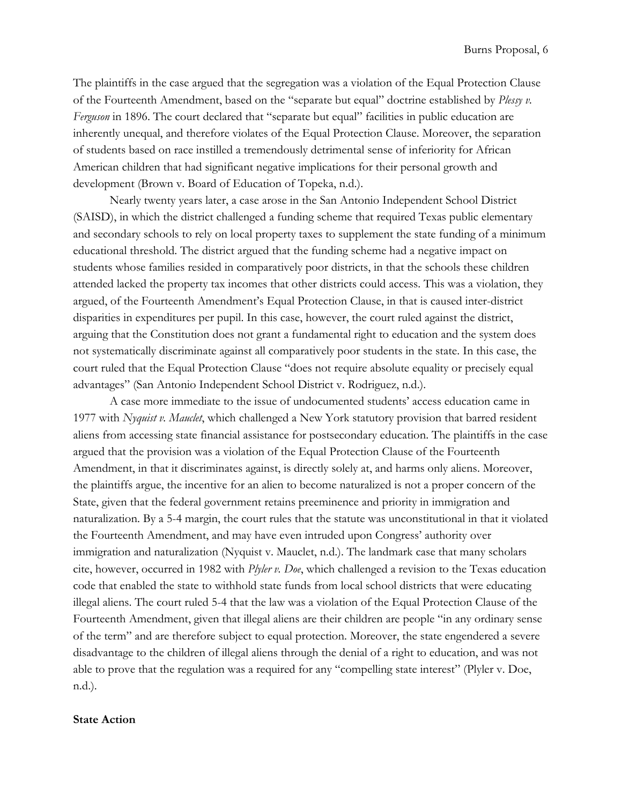The plaintiffs in the case argued that the segregation was a violation of the Equal Protection Clause of the Fourteenth Amendment, based on the "separate but equal" doctrine established by *Plessy v. Ferguson* in 1896. The court declared that "separate but equal" facilities in public education are inherently unequal, and therefore violates of the Equal Protection Clause. Moreover, the separation of students based on race instilled a tremendously detrimental sense of inferiority for African American children that had significant negative implications for their personal growth and development (Brown v. Board of Education of Topeka, n.d.).

Nearly twenty years later, a case arose in the San Antonio Independent School District (SAISD), in which the district challenged a funding scheme that required Texas public elementary and secondary schools to rely on local property taxes to supplement the state funding of a minimum educational threshold. The district argued that the funding scheme had a negative impact on students whose families resided in comparatively poor districts, in that the schools these children attended lacked the property tax incomes that other districts could access. This was a violation, they argued, of the Fourteenth Amendment's Equal Protection Clause, in that is caused inter-district disparities in expenditures per pupil. In this case, however, the court ruled against the district, arguing that the Constitution does not grant a fundamental right to education and the system does not systematically discriminate against all comparatively poor students in the state. In this case, the court ruled that the Equal Protection Clause "does not require absolute equality or precisely equal advantages" (San Antonio Independent School District v. Rodriguez, n.d.).

A case more immediate to the issue of undocumented students' access education came in 1977 with *Nyquist v. Mauclet*, which challenged a New York statutory provision that barred resident aliens from accessing state financial assistance for postsecondary education. The plaintiffs in the case argued that the provision was a violation of the Equal Protection Clause of the Fourteenth Amendment, in that it discriminates against, is directly solely at, and harms only aliens. Moreover, the plaintiffs argue, the incentive for an alien to become naturalized is not a proper concern of the State, given that the federal government retains preeminence and priority in immigration and naturalization. By a 5-4 margin, the court rules that the statute was unconstitutional in that it violated the Fourteenth Amendment, and may have even intruded upon Congress' authority over immigration and naturalization (Nyquist v. Mauclet, n.d.). The landmark case that many scholars cite, however, occurred in 1982 with *Plyler v. Doe*, which challenged a revision to the Texas education code that enabled the state to withhold state funds from local school districts that were educating illegal aliens. The court ruled 5-4 that the law was a violation of the Equal Protection Clause of the Fourteenth Amendment, given that illegal aliens are their children are people "in any ordinary sense of the term" and are therefore subject to equal protection. Moreover, the state engendered a severe disadvantage to the children of illegal aliens through the denial of a right to education, and was not able to prove that the regulation was a required for any "compelling state interest" (Plyler v. Doe, n.d.).

# <span id="page-5-0"></span>**State Action**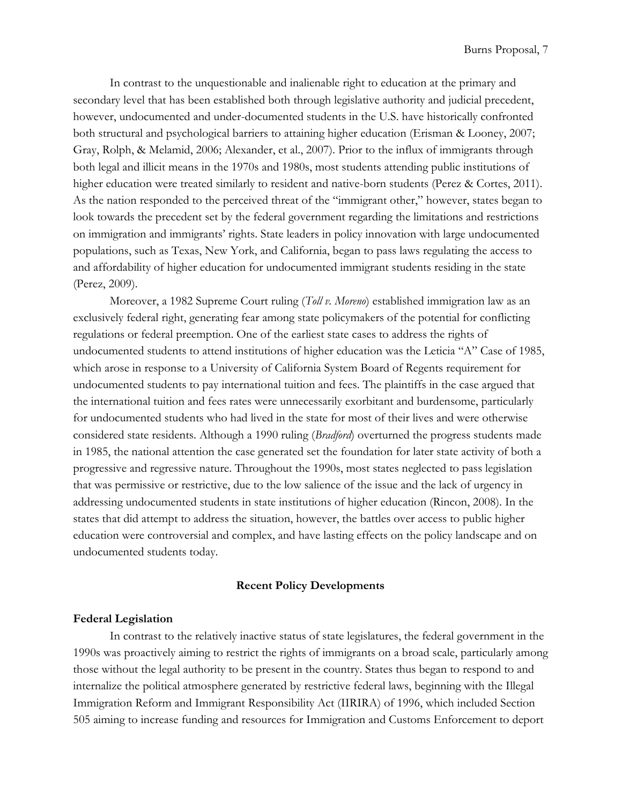In contrast to the unquestionable and inalienable right to education at the primary and secondary level that has been established both through legislative authority and judicial precedent, however, undocumented and under-documented students in the U.S. have historically confronted both structural and psychological barriers to attaining higher education (Erisman & Looney, 2007; Gray, Rolph, & Melamid, 2006; Alexander, et al., 2007). Prior to the influx of immigrants through both legal and illicit means in the 1970s and 1980s, most students attending public institutions of higher education were treated similarly to resident and native-born students (Perez & Cortes, 2011). As the nation responded to the perceived threat of the "immigrant other," however, states began to look towards the precedent set by the federal government regarding the limitations and restrictions on immigration and immigrants' rights. State leaders in policy innovation with large undocumented populations, such as Texas, New York, and California, began to pass laws regulating the access to and affordability of higher education for undocumented immigrant students residing in the state (Perez, 2009).

Moreover, a 1982 Supreme Court ruling (*Toll v. Moreno*) established immigration law as an exclusively federal right, generating fear among state policymakers of the potential for conflicting regulations or federal preemption. One of the earliest state cases to address the rights of undocumented students to attend institutions of higher education was the Leticia "A" Case of 1985, which arose in response to a University of California System Board of Regents requirement for undocumented students to pay international tuition and fees. The plaintiffs in the case argued that the international tuition and fees rates were unnecessarily exorbitant and burdensome, particularly for undocumented students who had lived in the state for most of their lives and were otherwise considered state residents. Although a 1990 ruling (*Bradford*) overturned the progress students made in 1985, the national attention the case generated set the foundation for later state activity of both a progressive and regressive nature. Throughout the 1990s, most states neglected to pass legislation that was permissive or restrictive, due to the low salience of the issue and the lack of urgency in addressing undocumented students in state institutions of higher education (Rincon, 2008). In the states that did attempt to address the situation, however, the battles over access to public higher education were controversial and complex, and have lasting effects on the policy landscape and on undocumented students today.

#### **Recent Policy Developments**

## <span id="page-6-1"></span><span id="page-6-0"></span>**Federal Legislation**

In contrast to the relatively inactive status of state legislatures, the federal government in the 1990s was proactively aiming to restrict the rights of immigrants on a broad scale, particularly among those without the legal authority to be present in the country. States thus began to respond to and internalize the political atmosphere generated by restrictive federal laws, beginning with the Illegal Immigration Reform and Immigrant Responsibility Act (IIRIRA) of 1996, which included Section 505 aiming to increase funding and resources for Immigration and Customs Enforcement to deport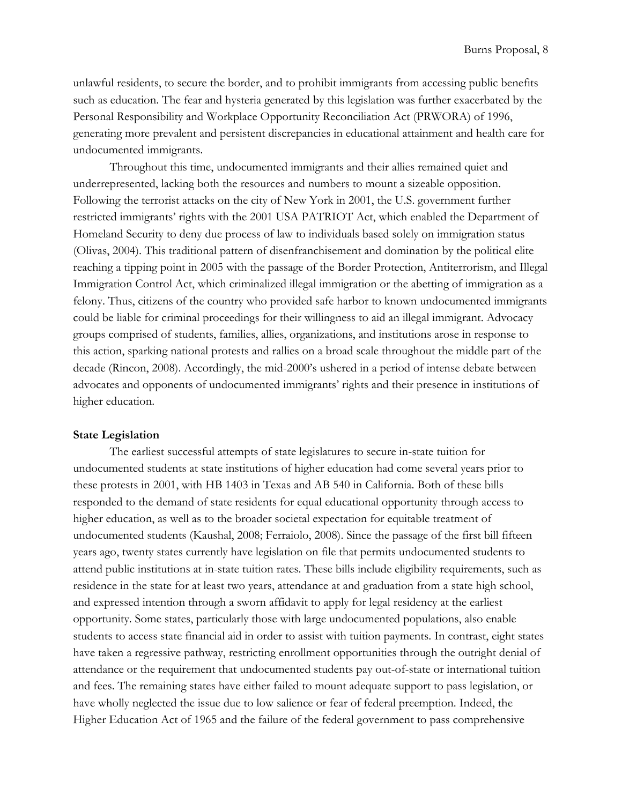unlawful residents, to secure the border, and to prohibit immigrants from accessing public benefits such as education. The fear and hysteria generated by this legislation was further exacerbated by the Personal Responsibility and Workplace Opportunity Reconciliation Act (PRWORA) of 1996, generating more prevalent and persistent discrepancies in educational attainment and health care for undocumented immigrants.

Throughout this time, undocumented immigrants and their allies remained quiet and underrepresented, lacking both the resources and numbers to mount a sizeable opposition. Following the terrorist attacks on the city of New York in 2001, the U.S. government further restricted immigrants' rights with the 2001 USA PATRIOT Act, which enabled the Department of Homeland Security to deny due process of law to individuals based solely on immigration status (Olivas, 2004). This traditional pattern of disenfranchisement and domination by the political elite reaching a tipping point in 2005 with the passage of the Border Protection, Antiterrorism, and Illegal Immigration Control Act, which criminalized illegal immigration or the abetting of immigration as a felony. Thus, citizens of the country who provided safe harbor to known undocumented immigrants could be liable for criminal proceedings for their willingness to aid an illegal immigrant. Advocacy groups comprised of students, families, allies, organizations, and institutions arose in response to this action, sparking national protests and rallies on a broad scale throughout the middle part of the decade (Rincon, 2008). Accordingly, the mid-2000's ushered in a period of intense debate between advocates and opponents of undocumented immigrants' rights and their presence in institutions of higher education.

## <span id="page-7-0"></span>**State Legislation**

The earliest successful attempts of state legislatures to secure in-state tuition for undocumented students at state institutions of higher education had come several years prior to these protests in 2001, with HB 1403 in Texas and AB 540 in California. Both of these bills responded to the demand of state residents for equal educational opportunity through access to higher education, as well as to the broader societal expectation for equitable treatment of undocumented students (Kaushal, 2008; Ferraiolo, 2008). Since the passage of the first bill fifteen years ago, twenty states currently have legislation on file that permits undocumented students to attend public institutions at in-state tuition rates. These bills include eligibility requirements, such as residence in the state for at least two years, attendance at and graduation from a state high school, and expressed intention through a sworn affidavit to apply for legal residency at the earliest opportunity. Some states, particularly those with large undocumented populations, also enable students to access state financial aid in order to assist with tuition payments. In contrast, eight states have taken a regressive pathway, restricting enrollment opportunities through the outright denial of attendance or the requirement that undocumented students pay out-of-state or international tuition and fees. The remaining states have either failed to mount adequate support to pass legislation, or have wholly neglected the issue due to low salience or fear of federal preemption. Indeed, the Higher Education Act of 1965 and the failure of the federal government to pass comprehensive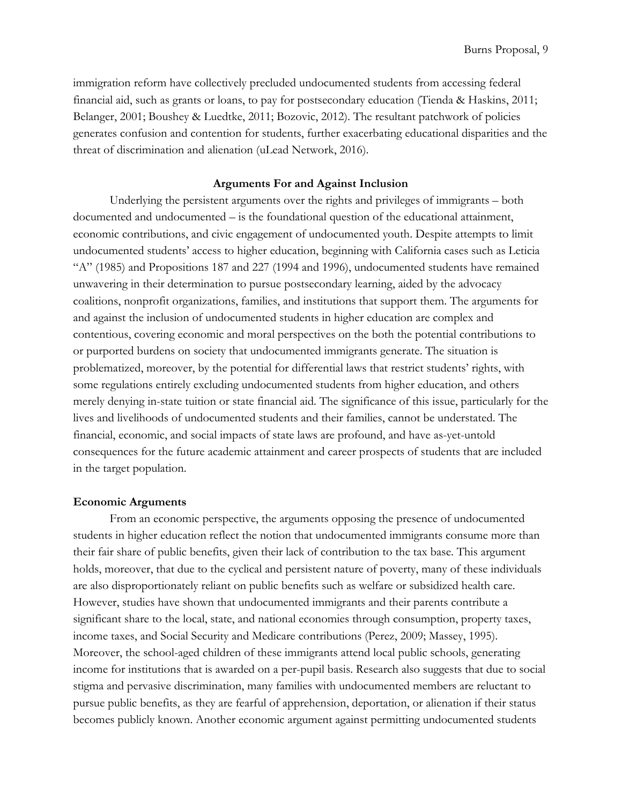immigration reform have collectively precluded undocumented students from accessing federal financial aid, such as grants or loans, to pay for postsecondary education (Tienda & Haskins, 2011; Belanger, 2001; Boushey & Luedtke, 2011; Bozovic, 2012). The resultant patchwork of policies generates confusion and contention for students, further exacerbating educational disparities and the threat of discrimination and alienation (uLead Network, 2016).

# **Arguments For and Against Inclusion**

<span id="page-8-1"></span>Underlying the persistent arguments over the rights and privileges of immigrants – both documented and undocumented – is the foundational question of the educational attainment, economic contributions, and civic engagement of undocumented youth. Despite attempts to limit undocumented students' access to higher education, beginning with California cases such as Leticia "A" (1985) and Propositions 187 and 227 (1994 and 1996), undocumented students have remained unwavering in their determination to pursue postsecondary learning, aided by the advocacy coalitions, nonprofit organizations, families, and institutions that support them. The arguments for and against the inclusion of undocumented students in higher education are complex and contentious, covering economic and moral perspectives on the both the potential contributions to or purported burdens on society that undocumented immigrants generate. The situation is problematized, moreover, by the potential for differential laws that restrict students' rights, with some regulations entirely excluding undocumented students from higher education, and others merely denying in-state tuition or state financial aid. The significance of this issue, particularly for the lives and livelihoods of undocumented students and their families, cannot be understated. The financial, economic, and social impacts of state laws are profound, and have as-yet-untold consequences for the future academic attainment and career prospects of students that are included in the target population.

#### <span id="page-8-0"></span>**Economic Arguments**

From an economic perspective, the arguments opposing the presence of undocumented students in higher education reflect the notion that undocumented immigrants consume more than their fair share of public benefits, given their lack of contribution to the tax base. This argument holds, moreover, that due to the cyclical and persistent nature of poverty, many of these individuals are also disproportionately reliant on public benefits such as welfare or subsidized health care. However, studies have shown that undocumented immigrants and their parents contribute a significant share to the local, state, and national economies through consumption, property taxes, income taxes, and Social Security and Medicare contributions (Perez, 2009; Massey, 1995). Moreover, the school-aged children of these immigrants attend local public schools, generating income for institutions that is awarded on a per-pupil basis. Research also suggests that due to social stigma and pervasive discrimination, many families with undocumented members are reluctant to pursue public benefits, as they are fearful of apprehension, deportation, or alienation if their status becomes publicly known. Another economic argument against permitting undocumented students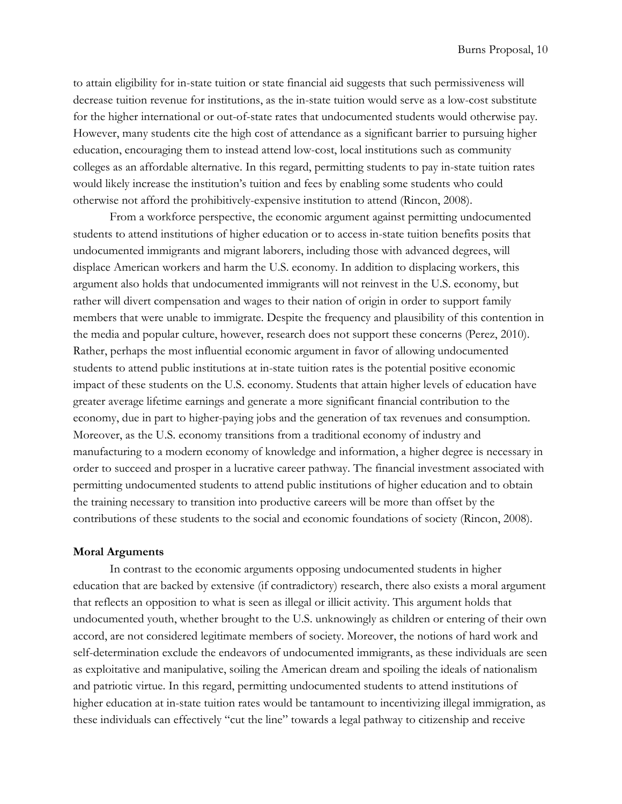to attain eligibility for in-state tuition or state financial aid suggests that such permissiveness will decrease tuition revenue for institutions, as the in-state tuition would serve as a low-cost substitute for the higher international or out-of-state rates that undocumented students would otherwise pay. However, many students cite the high cost of attendance as a significant barrier to pursuing higher education, encouraging them to instead attend low-cost, local institutions such as community colleges as an affordable alternative. In this regard, permitting students to pay in-state tuition rates would likely increase the institution's tuition and fees by enabling some students who could otherwise not afford the prohibitively-expensive institution to attend (Rincon, 2008).

From a workforce perspective, the economic argument against permitting undocumented students to attend institutions of higher education or to access in-state tuition benefits posits that undocumented immigrants and migrant laborers, including those with advanced degrees, will displace American workers and harm the U.S. economy. In addition to displacing workers, this argument also holds that undocumented immigrants will not reinvest in the U.S. economy, but rather will divert compensation and wages to their nation of origin in order to support family members that were unable to immigrate. Despite the frequency and plausibility of this contention in the media and popular culture, however, research does not support these concerns (Perez, 2010). Rather, perhaps the most influential economic argument in favor of allowing undocumented students to attend public institutions at in-state tuition rates is the potential positive economic impact of these students on the U.S. economy. Students that attain higher levels of education have greater average lifetime earnings and generate a more significant financial contribution to the economy, due in part to higher-paying jobs and the generation of tax revenues and consumption. Moreover, as the U.S. economy transitions from a traditional economy of industry and manufacturing to a modern economy of knowledge and information, a higher degree is necessary in order to succeed and prosper in a lucrative career pathway. The financial investment associated with permitting undocumented students to attend public institutions of higher education and to obtain the training necessary to transition into productive careers will be more than offset by the contributions of these students to the social and economic foundations of society (Rincon, 2008).

## <span id="page-9-0"></span>**Moral Arguments**

In contrast to the economic arguments opposing undocumented students in higher education that are backed by extensive (if contradictory) research, there also exists a moral argument that reflects an opposition to what is seen as illegal or illicit activity. This argument holds that undocumented youth, whether brought to the U.S. unknowingly as children or entering of their own accord, are not considered legitimate members of society. Moreover, the notions of hard work and self-determination exclude the endeavors of undocumented immigrants, as these individuals are seen as exploitative and manipulative, soiling the American dream and spoiling the ideals of nationalism and patriotic virtue. In this regard, permitting undocumented students to attend institutions of higher education at in-state tuition rates would be tantamount to incentivizing illegal immigration, as these individuals can effectively "cut the line" towards a legal pathway to citizenship and receive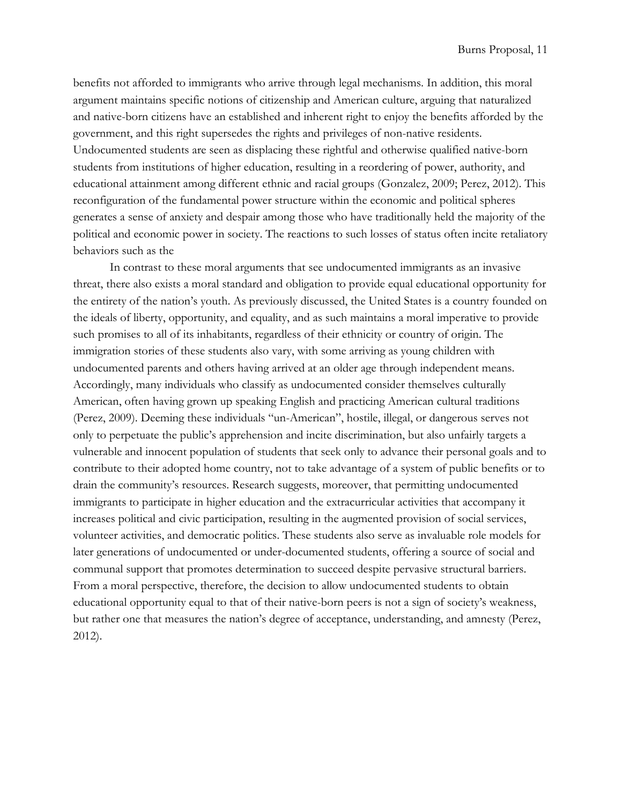benefits not afforded to immigrants who arrive through legal mechanisms. In addition, this moral argument maintains specific notions of citizenship and American culture, arguing that naturalized and native-born citizens have an established and inherent right to enjoy the benefits afforded by the government, and this right supersedes the rights and privileges of non-native residents. Undocumented students are seen as displacing these rightful and otherwise qualified native-born students from institutions of higher education, resulting in a reordering of power, authority, and educational attainment among different ethnic and racial groups (Gonzalez, 2009; Perez, 2012). This reconfiguration of the fundamental power structure within the economic and political spheres generates a sense of anxiety and despair among those who have traditionally held the majority of the political and economic power in society. The reactions to such losses of status often incite retaliatory behaviors such as the

In contrast to these moral arguments that see undocumented immigrants as an invasive threat, there also exists a moral standard and obligation to provide equal educational opportunity for the entirety of the nation's youth. As previously discussed, the United States is a country founded on the ideals of liberty, opportunity, and equality, and as such maintains a moral imperative to provide such promises to all of its inhabitants, regardless of their ethnicity or country of origin. The immigration stories of these students also vary, with some arriving as young children with undocumented parents and others having arrived at an older age through independent means. Accordingly, many individuals who classify as undocumented consider themselves culturally American, often having grown up speaking English and practicing American cultural traditions (Perez, 2009). Deeming these individuals "un-American", hostile, illegal, or dangerous serves not only to perpetuate the public's apprehension and incite discrimination, but also unfairly targets a vulnerable and innocent population of students that seek only to advance their personal goals and to contribute to their adopted home country, not to take advantage of a system of public benefits or to drain the community's resources. Research suggests, moreover, that permitting undocumented immigrants to participate in higher education and the extracurricular activities that accompany it increases political and civic participation, resulting in the augmented provision of social services, volunteer activities, and democratic politics. These students also serve as invaluable role models for later generations of undocumented or under-documented students, offering a source of social and communal support that promotes determination to succeed despite pervasive structural barriers. From a moral perspective, therefore, the decision to allow undocumented students to obtain educational opportunity equal to that of their native-born peers is not a sign of society's weakness, but rather one that measures the nation's degree of acceptance, understanding, and amnesty (Perez, 2012).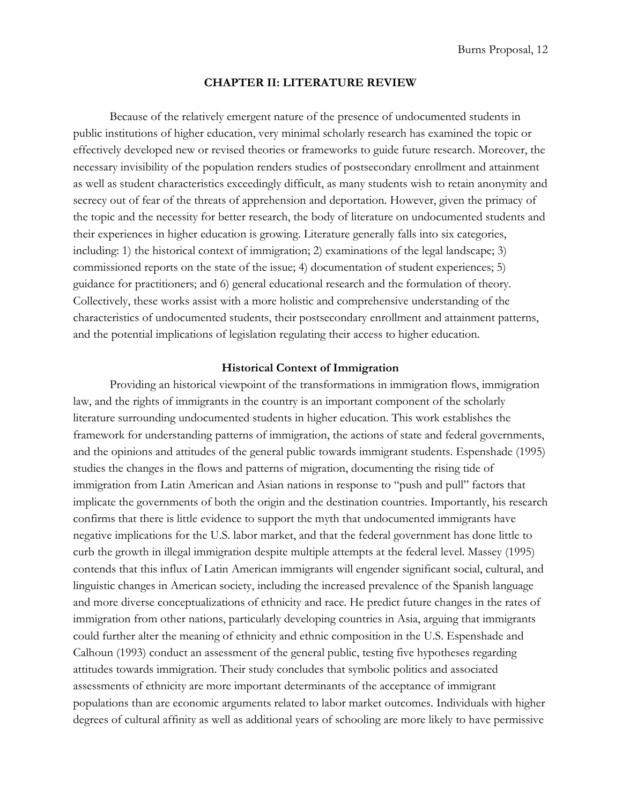## **CHAPTER II: LITERATURE REVIEW**

<span id="page-11-0"></span>Because of the relatively emergent nature of the presence of undocumented students in public institutions of higher education, very minimal scholarly research has examined the topic or effectively developed new or revised theories or frameworks to guide future research. Moreover, the necessary invisibility of the population renders studies of postsecondary enrollment and attainment as well as student characteristics exceedingly difficult, as many students wish to retain anonymity and secrecy out of fear of the threats of apprehension and deportation. However, given the primacy of the topic and the necessity for better research, the body of literature on undocumented students and their experiences in higher education is growing. Literature generally falls into six categories, including: 1) the historical context of immigration; 2) examinations of the legal landscape; 3) commissioned reports on the state of the issue; 4) documentation of student experiences; 5) guidance for practitioners; and 6) general educational research and the formulation of theory. Collectively, these works assist with a more holistic and comprehensive understanding of the characteristics of undocumented students, their postsecondary enrollment and attainment patterns, and the potential implications of legislation regulating their access to higher education.

# **Historical Context of Immigration**

<span id="page-11-1"></span>Providing an historical viewpoint of the transformations in immigration flows, immigration law, and the rights of immigrants in the country is an important component of the scholarly literature surrounding undocumented students in higher education. This work establishes the framework for understanding patterns of immigration, the actions of state and federal governments, and the opinions and attitudes of the general public towards immigrant students. Espenshade (1995) studies the changes in the flows and patterns of migration, documenting the rising tide of immigration from Latin American and Asian nations in response to "push and pull" factors that implicate the governments of both the origin and the destination countries. Importantly, his research confirms that there is little evidence to support the myth that undocumented immigrants have negative implications for the U.S. labor market, and that the federal government has done little to curb the growth in illegal immigration despite multiple attempts at the federal level. Massey (1995) contends that this influx of Latin American immigrants will engender significant social, cultural, and linguistic changes in American society, including the increased prevalence of the Spanish language and more diverse conceptualizations of ethnicity and race. He predict future changes in the rates of immigration from other nations, particularly developing countries in Asia, arguing that immigrants could further alter the meaning of ethnicity and ethnic composition in the U.S. Espenshade and Calhoun (1993) conduct an assessment of the general public, testing five hypotheses regarding attitudes towards immigration. Their study concludes that symbolic politics and associated assessments of ethnicity are more important determinants of the acceptance of immigrant populations than are economic arguments related to labor market outcomes. Individuals with higher degrees of cultural affinity as well as additional years of schooling are more likely to have permissive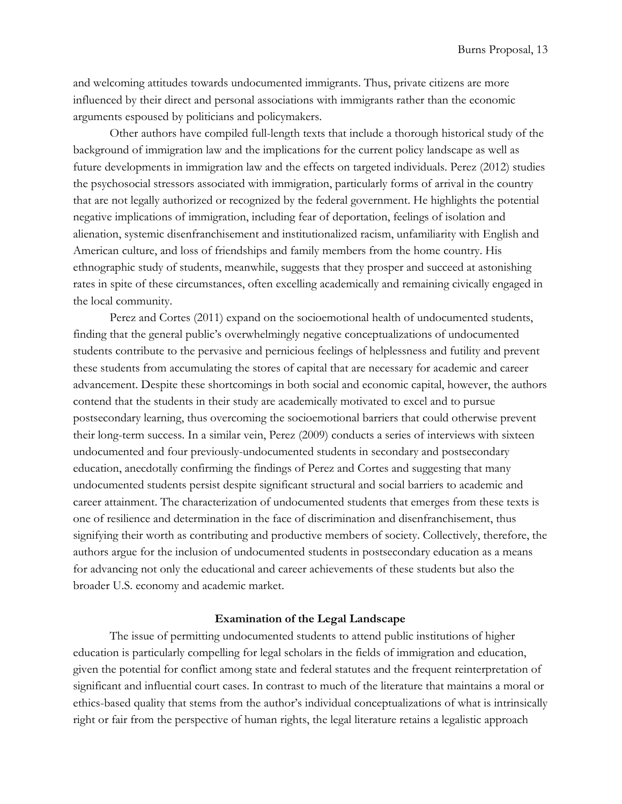and welcoming attitudes towards undocumented immigrants. Thus, private citizens are more influenced by their direct and personal associations with immigrants rather than the economic arguments espoused by politicians and policymakers.

Other authors have compiled full-length texts that include a thorough historical study of the background of immigration law and the implications for the current policy landscape as well as future developments in immigration law and the effects on targeted individuals. Perez (2012) studies the psychosocial stressors associated with immigration, particularly forms of arrival in the country that are not legally authorized or recognized by the federal government. He highlights the potential negative implications of immigration, including fear of deportation, feelings of isolation and alienation, systemic disenfranchisement and institutionalized racism, unfamiliarity with English and American culture, and loss of friendships and family members from the home country. His ethnographic study of students, meanwhile, suggests that they prosper and succeed at astonishing rates in spite of these circumstances, often excelling academically and remaining civically engaged in the local community.

Perez and Cortes (2011) expand on the socioemotional health of undocumented students, finding that the general public's overwhelmingly negative conceptualizations of undocumented students contribute to the pervasive and pernicious feelings of helplessness and futility and prevent these students from accumulating the stores of capital that are necessary for academic and career advancement. Despite these shortcomings in both social and economic capital, however, the authors contend that the students in their study are academically motivated to excel and to pursue postsecondary learning, thus overcoming the socioemotional barriers that could otherwise prevent their long-term success. In a similar vein, Perez (2009) conducts a series of interviews with sixteen undocumented and four previously-undocumented students in secondary and postsecondary education, anecdotally confirming the findings of Perez and Cortes and suggesting that many undocumented students persist despite significant structural and social barriers to academic and career attainment. The characterization of undocumented students that emerges from these texts is one of resilience and determination in the face of discrimination and disenfranchisement, thus signifying their worth as contributing and productive members of society. Collectively, therefore, the authors argue for the inclusion of undocumented students in postsecondary education as a means for advancing not only the educational and career achievements of these students but also the broader U.S. economy and academic market.

## **Examination of the Legal Landscape**

<span id="page-12-0"></span>The issue of permitting undocumented students to attend public institutions of higher education is particularly compelling for legal scholars in the fields of immigration and education, given the potential for conflict among state and federal statutes and the frequent reinterpretation of significant and influential court cases. In contrast to much of the literature that maintains a moral or ethics-based quality that stems from the author's individual conceptualizations of what is intrinsically right or fair from the perspective of human rights, the legal literature retains a legalistic approach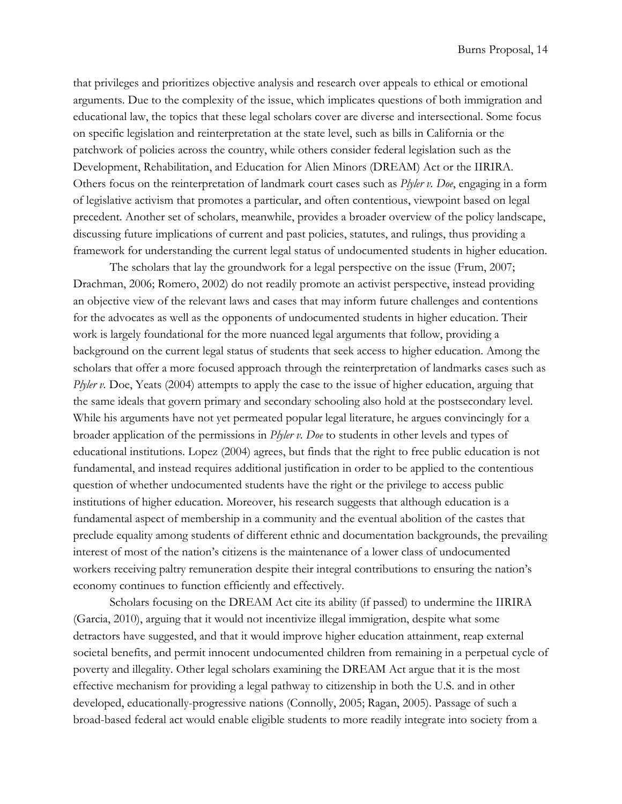that privileges and prioritizes objective analysis and research over appeals to ethical or emotional arguments. Due to the complexity of the issue, which implicates questions of both immigration and educational law, the topics that these legal scholars cover are diverse and intersectional. Some focus on specific legislation and reinterpretation at the state level, such as bills in California or the patchwork of policies across the country, while others consider federal legislation such as the Development, Rehabilitation, and Education for Alien Minors (DREAM) Act or the IIRIRA. Others focus on the reinterpretation of landmark court cases such as *Plyler v. Doe*, engaging in a form of legislative activism that promotes a particular, and often contentious, viewpoint based on legal precedent. Another set of scholars, meanwhile, provides a broader overview of the policy landscape, discussing future implications of current and past policies, statutes, and rulings, thus providing a framework for understanding the current legal status of undocumented students in higher education.

The scholars that lay the groundwork for a legal perspective on the issue (Frum, 2007; Drachman, 2006; Romero, 2002) do not readily promote an activist perspective, instead providing an objective view of the relevant laws and cases that may inform future challenges and contentions for the advocates as well as the opponents of undocumented students in higher education. Their work is largely foundational for the more nuanced legal arguments that follow, providing a background on the current legal status of students that seek access to higher education. Among the scholars that offer a more focused approach through the reinterpretation of landmarks cases such as *Plyler v.* Doe, Yeats (2004) attempts to apply the case to the issue of higher education, arguing that the same ideals that govern primary and secondary schooling also hold at the postsecondary level. While his arguments have not yet permeated popular legal literature, he argues convincingly for a broader application of the permissions in *Plyler v. Doe* to students in other levels and types of educational institutions. Lopez (2004) agrees, but finds that the right to free public education is not fundamental, and instead requires additional justification in order to be applied to the contentious question of whether undocumented students have the right or the privilege to access public institutions of higher education. Moreover, his research suggests that although education is a fundamental aspect of membership in a community and the eventual abolition of the castes that preclude equality among students of different ethnic and documentation backgrounds, the prevailing interest of most of the nation's citizens is the maintenance of a lower class of undocumented workers receiving paltry remuneration despite their integral contributions to ensuring the nation's economy continues to function efficiently and effectively.

Scholars focusing on the DREAM Act cite its ability (if passed) to undermine the IIRIRA (Garcia, 2010), arguing that it would not incentivize illegal immigration, despite what some detractors have suggested, and that it would improve higher education attainment, reap external societal benefits, and permit innocent undocumented children from remaining in a perpetual cycle of poverty and illegality. Other legal scholars examining the DREAM Act argue that it is the most effective mechanism for providing a legal pathway to citizenship in both the U.S. and in other developed, educationally-progressive nations (Connolly, 2005; Ragan, 2005). Passage of such a broad-based federal act would enable eligible students to more readily integrate into society from a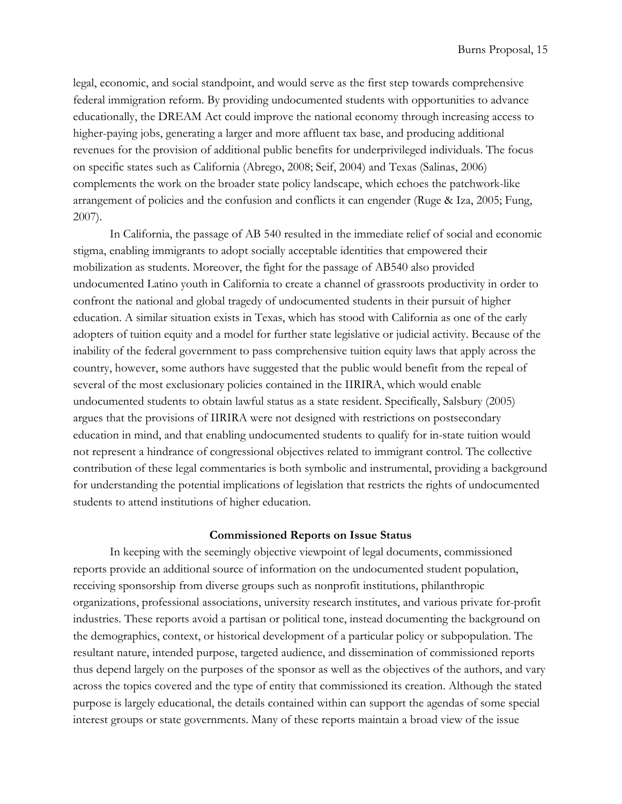legal, economic, and social standpoint, and would serve as the first step towards comprehensive federal immigration reform. By providing undocumented students with opportunities to advance educationally, the DREAM Act could improve the national economy through increasing access to higher-paying jobs, generating a larger and more affluent tax base, and producing additional revenues for the provision of additional public benefits for underprivileged individuals. The focus on specific states such as California (Abrego, 2008; Seif, 2004) and Texas (Salinas, 2006) complements the work on the broader state policy landscape, which echoes the patchwork-like arrangement of policies and the confusion and conflicts it can engender (Ruge & Iza, 2005; Fung, 2007).

In California, the passage of AB 540 resulted in the immediate relief of social and economic stigma, enabling immigrants to adopt socially acceptable identities that empowered their mobilization as students. Moreover, the fight for the passage of AB540 also provided undocumented Latino youth in California to create a channel of grassroots productivity in order to confront the national and global tragedy of undocumented students in their pursuit of higher education. A similar situation exists in Texas, which has stood with California as one of the early adopters of tuition equity and a model for further state legislative or judicial activity. Because of the inability of the federal government to pass comprehensive tuition equity laws that apply across the country, however, some authors have suggested that the public would benefit from the repeal of several of the most exclusionary policies contained in the IIRIRA, which would enable undocumented students to obtain lawful status as a state resident. Specifically, Salsbury (2005) argues that the provisions of IIRIRA were not designed with restrictions on postsecondary education in mind, and that enabling undocumented students to qualify for in-state tuition would not represent a hindrance of congressional objectives related to immigrant control. The collective contribution of these legal commentaries is both symbolic and instrumental, providing a background for understanding the potential implications of legislation that restricts the rights of undocumented students to attend institutions of higher education.

#### **Commissioned Reports on Issue Status**

<span id="page-14-0"></span>In keeping with the seemingly objective viewpoint of legal documents, commissioned reports provide an additional source of information on the undocumented student population, receiving sponsorship from diverse groups such as nonprofit institutions, philanthropic organizations, professional associations, university research institutes, and various private for-profit industries. These reports avoid a partisan or political tone, instead documenting the background on the demographics, context, or historical development of a particular policy or subpopulation. The resultant nature, intended purpose, targeted audience, and dissemination of commissioned reports thus depend largely on the purposes of the sponsor as well as the objectives of the authors, and vary across the topics covered and the type of entity that commissioned its creation. Although the stated purpose is largely educational, the details contained within can support the agendas of some special interest groups or state governments. Many of these reports maintain a broad view of the issue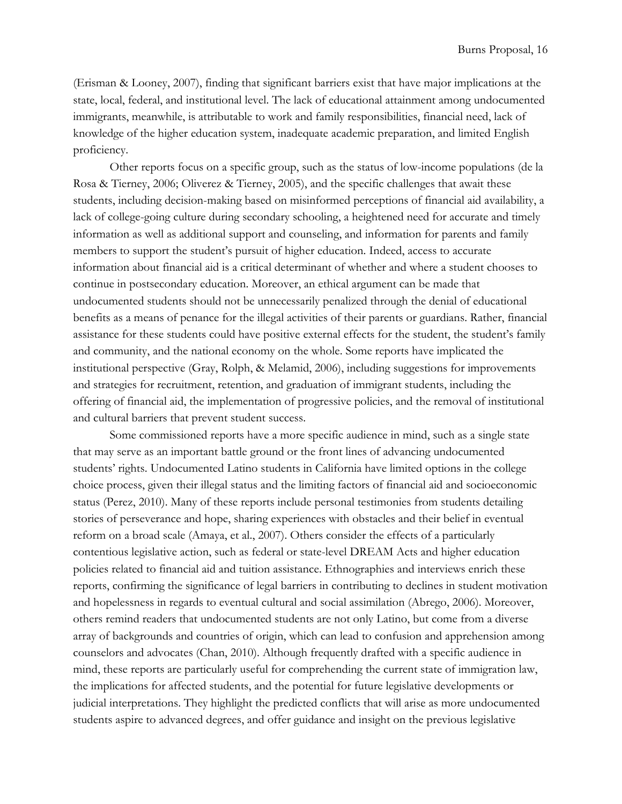(Erisman & Looney, 2007), finding that significant barriers exist that have major implications at the state, local, federal, and institutional level. The lack of educational attainment among undocumented immigrants, meanwhile, is attributable to work and family responsibilities, financial need, lack of knowledge of the higher education system, inadequate academic preparation, and limited English proficiency.

Other reports focus on a specific group, such as the status of low-income populations (de la Rosa & Tierney, 2006; Oliverez & Tierney, 2005), and the specific challenges that await these students, including decision-making based on misinformed perceptions of financial aid availability, a lack of college-going culture during secondary schooling, a heightened need for accurate and timely information as well as additional support and counseling, and information for parents and family members to support the student's pursuit of higher education. Indeed, access to accurate information about financial aid is a critical determinant of whether and where a student chooses to continue in postsecondary education. Moreover, an ethical argument can be made that undocumented students should not be unnecessarily penalized through the denial of educational benefits as a means of penance for the illegal activities of their parents or guardians. Rather, financial assistance for these students could have positive external effects for the student, the student's family and community, and the national economy on the whole. Some reports have implicated the institutional perspective (Gray, Rolph, & Melamid, 2006), including suggestions for improvements and strategies for recruitment, retention, and graduation of immigrant students, including the offering of financial aid, the implementation of progressive policies, and the removal of institutional and cultural barriers that prevent student success.

Some commissioned reports have a more specific audience in mind, such as a single state that may serve as an important battle ground or the front lines of advancing undocumented students' rights. Undocumented Latino students in California have limited options in the college choice process, given their illegal status and the limiting factors of financial aid and socioeconomic status (Perez, 2010). Many of these reports include personal testimonies from students detailing stories of perseverance and hope, sharing experiences with obstacles and their belief in eventual reform on a broad scale (Amaya, et al., 2007). Others consider the effects of a particularly contentious legislative action, such as federal or state-level DREAM Acts and higher education policies related to financial aid and tuition assistance. Ethnographies and interviews enrich these reports, confirming the significance of legal barriers in contributing to declines in student motivation and hopelessness in regards to eventual cultural and social assimilation (Abrego, 2006). Moreover, others remind readers that undocumented students are not only Latino, but come from a diverse array of backgrounds and countries of origin, which can lead to confusion and apprehension among counselors and advocates (Chan, 2010). Although frequently drafted with a specific audience in mind, these reports are particularly useful for comprehending the current state of immigration law, the implications for affected students, and the potential for future legislative developments or judicial interpretations. They highlight the predicted conflicts that will arise as more undocumented students aspire to advanced degrees, and offer guidance and insight on the previous legislative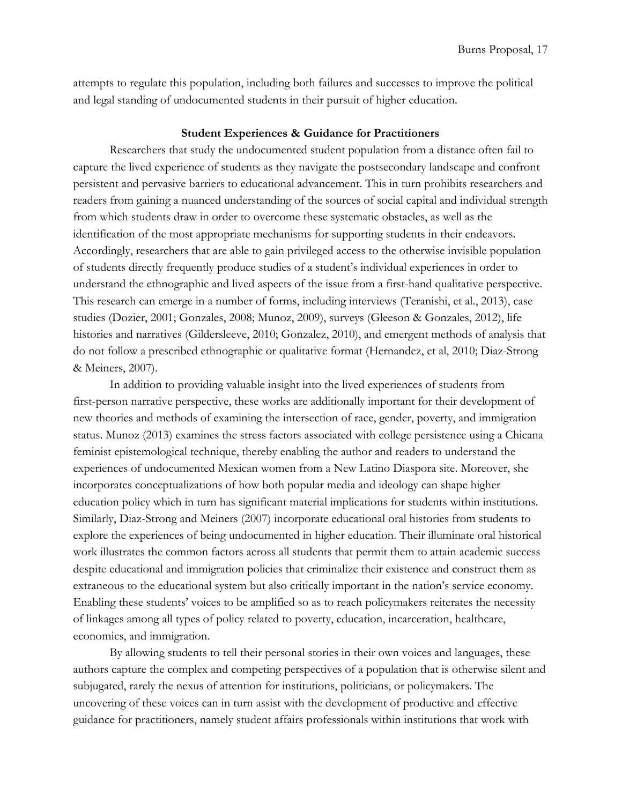attempts to regulate this population, including both failures and successes to improve the political and legal standing of undocumented students in their pursuit of higher education.

## **Student Experiences & Guidance for Practitioners**

<span id="page-16-0"></span>Researchers that study the undocumented student population from a distance often fail to capture the lived experience of students as they navigate the postsecondary landscape and confront persistent and pervasive barriers to educational advancement. This in turn prohibits researchers and readers from gaining a nuanced understanding of the sources of social capital and individual strength from which students draw in order to overcome these systematic obstacles, as well as the identification of the most appropriate mechanisms for supporting students in their endeavors. Accordingly, researchers that are able to gain privileged access to the otherwise invisible population of students directly frequently produce studies of a student's individual experiences in order to understand the ethnographic and lived aspects of the issue from a first-hand qualitative perspective. This research can emerge in a number of forms, including interviews (Teranishi, et al., 2013), case studies (Dozier, 2001; Gonzales, 2008; Munoz, 2009), surveys (Gleeson & Gonzales, 2012), life histories and narratives (Gildersleeve, 2010; Gonzalez, 2010), and emergent methods of analysis that do not follow a prescribed ethnographic or qualitative format (Hernandez, et al, 2010; Diaz-Strong & Meiners, 2007).

In addition to providing valuable insight into the lived experiences of students from first-person narrative perspective, these works are additionally important for their development of new theories and methods of examining the intersection of race, gender, poverty, and immigration status. Munoz (2013) examines the stress factors associated with college persistence using a Chicana feminist epistemological technique, thereby enabling the author and readers to understand the experiences of undocumented Mexican women from a New Latino Diaspora site. Moreover, she incorporates conceptualizations of how both popular media and ideology can shape higher education policy which in turn has significant material implications for students within institutions. Similarly, Diaz-Strong and Meiners (2007) incorporate educational oral histories from students to explore the experiences of being undocumented in higher education. Their illuminate oral historical work illustrates the common factors across all students that permit them to attain academic success despite educational and immigration policies that criminalize their existence and construct them as extraneous to the educational system but also critically important in the nation's service economy. Enabling these students' voices to be amplified so as to reach policymakers reiterates the necessity of linkages among all types of policy related to poverty, education, incarceration, healthcare, economics, and immigration.

By allowing students to tell their personal stories in their own voices and languages, these authors capture the complex and competing perspectives of a population that is otherwise silent and subjugated, rarely the nexus of attention for institutions, politicians, or policymakers. The uncovering of these voices can in turn assist with the development of productive and effective guidance for practitioners, namely student affairs professionals within institutions that work with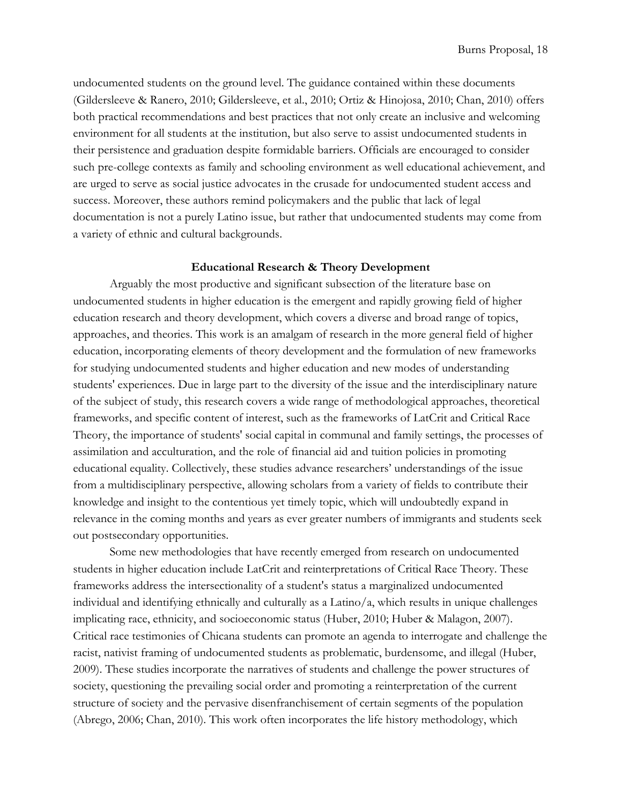undocumented students on the ground level. The guidance contained within these documents (Gildersleeve & Ranero, 2010; Gildersleeve, et al., 2010; Ortiz & Hinojosa, 2010; Chan, 2010) offers both practical recommendations and best practices that not only create an inclusive and welcoming environment for all students at the institution, but also serve to assist undocumented students in their persistence and graduation despite formidable barriers. Officials are encouraged to consider such pre-college contexts as family and schooling environment as well educational achievement, and are urged to serve as social justice advocates in the crusade for undocumented student access and success. Moreover, these authors remind policymakers and the public that lack of legal documentation is not a purely Latino issue, but rather that undocumented students may come from a variety of ethnic and cultural backgrounds.

#### **Educational Research & Theory Development**

<span id="page-17-0"></span>Arguably the most productive and significant subsection of the literature base on undocumented students in higher education is the emergent and rapidly growing field of higher education research and theory development, which covers a diverse and broad range of topics, approaches, and theories. This work is an amalgam of research in the more general field of higher education, incorporating elements of theory development and the formulation of new frameworks for studying undocumented students and higher education and new modes of understanding students' experiences. Due in large part to the diversity of the issue and the interdisciplinary nature of the subject of study, this research covers a wide range of methodological approaches, theoretical frameworks, and specific content of interest, such as the frameworks of LatCrit and Critical Race Theory, the importance of students' social capital in communal and family settings, the processes of assimilation and acculturation, and the role of financial aid and tuition policies in promoting educational equality. Collectively, these studies advance researchers' understandings of the issue from a multidisciplinary perspective, allowing scholars from a variety of fields to contribute their knowledge and insight to the contentious yet timely topic, which will undoubtedly expand in relevance in the coming months and years as ever greater numbers of immigrants and students seek out postsecondary opportunities.

Some new methodologies that have recently emerged from research on undocumented students in higher education include LatCrit and reinterpretations of Critical Race Theory. These frameworks address the intersectionality of a student's status a marginalized undocumented individual and identifying ethnically and culturally as a Latino/a, which results in unique challenges implicating race, ethnicity, and socioeconomic status (Huber, 2010; Huber & Malagon, 2007). Critical race testimonies of Chicana students can promote an agenda to interrogate and challenge the racist, nativist framing of undocumented students as problematic, burdensome, and illegal (Huber, 2009). These studies incorporate the narratives of students and challenge the power structures of society, questioning the prevailing social order and promoting a reinterpretation of the current structure of society and the pervasive disenfranchisement of certain segments of the population (Abrego, 2006; Chan, 2010). This work often incorporates the life history methodology, which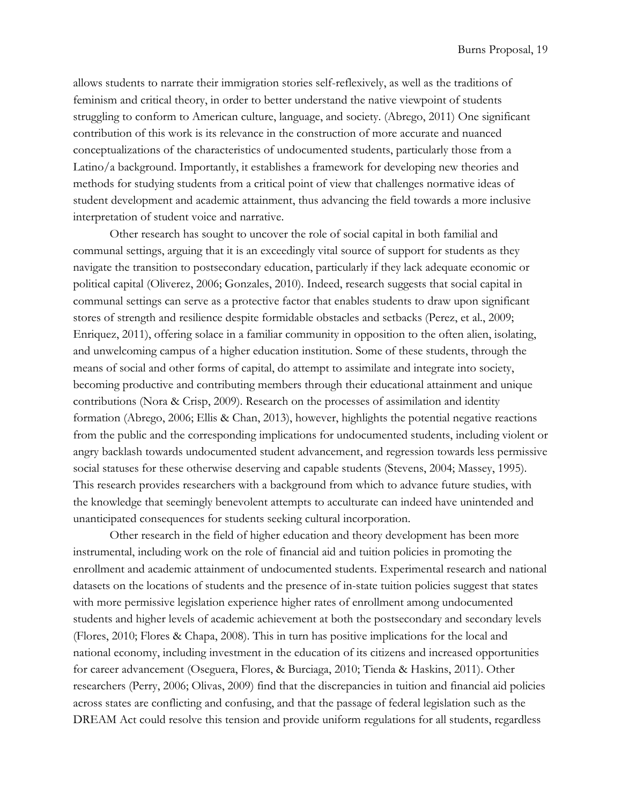allows students to narrate their immigration stories self-reflexively, as well as the traditions of feminism and critical theory, in order to better understand the native viewpoint of students struggling to conform to American culture, language, and society. (Abrego, 2011) One significant contribution of this work is its relevance in the construction of more accurate and nuanced conceptualizations of the characteristics of undocumented students, particularly those from a Latino/a background. Importantly, it establishes a framework for developing new theories and methods for studying students from a critical point of view that challenges normative ideas of student development and academic attainment, thus advancing the field towards a more inclusive interpretation of student voice and narrative.

Other research has sought to uncover the role of social capital in both familial and communal settings, arguing that it is an exceedingly vital source of support for students as they navigate the transition to postsecondary education, particularly if they lack adequate economic or political capital (Oliverez, 2006; Gonzales, 2010). Indeed, research suggests that social capital in communal settings can serve as a protective factor that enables students to draw upon significant stores of strength and resilience despite formidable obstacles and setbacks (Perez, et al., 2009; Enriquez, 2011), offering solace in a familiar community in opposition to the often alien, isolating, and unwelcoming campus of a higher education institution. Some of these students, through the means of social and other forms of capital, do attempt to assimilate and integrate into society, becoming productive and contributing members through their educational attainment and unique contributions (Nora & Crisp, 2009). Research on the processes of assimilation and identity formation (Abrego, 2006; Ellis & Chan, 2013), however, highlights the potential negative reactions from the public and the corresponding implications for undocumented students, including violent or angry backlash towards undocumented student advancement, and regression towards less permissive social statuses for these otherwise deserving and capable students (Stevens, 2004; Massey, 1995). This research provides researchers with a background from which to advance future studies, with the knowledge that seemingly benevolent attempts to acculturate can indeed have unintended and unanticipated consequences for students seeking cultural incorporation.

Other research in the field of higher education and theory development has been more instrumental, including work on the role of financial aid and tuition policies in promoting the enrollment and academic attainment of undocumented students. Experimental research and national datasets on the locations of students and the presence of in-state tuition policies suggest that states with more permissive legislation experience higher rates of enrollment among undocumented students and higher levels of academic achievement at both the postsecondary and secondary levels (Flores, 2010; Flores & Chapa, 2008). This in turn has positive implications for the local and national economy, including investment in the education of its citizens and increased opportunities for career advancement (Oseguera, Flores, & Burciaga, 2010; Tienda & Haskins, 2011). Other researchers (Perry, 2006; Olivas, 2009) find that the discrepancies in tuition and financial aid policies across states are conflicting and confusing, and that the passage of federal legislation such as the DREAM Act could resolve this tension and provide uniform regulations for all students, regardless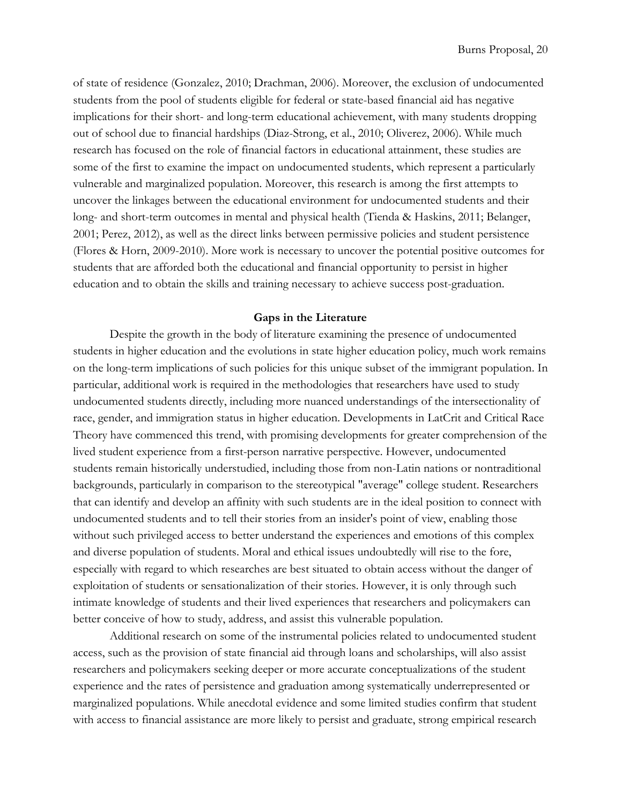of state of residence (Gonzalez, 2010; Drachman, 2006). Moreover, the exclusion of undocumented students from the pool of students eligible for federal or state-based financial aid has negative implications for their short- and long-term educational achievement, with many students dropping out of school due to financial hardships (Diaz-Strong, et al., 2010; Oliverez, 2006). While much research has focused on the role of financial factors in educational attainment, these studies are some of the first to examine the impact on undocumented students, which represent a particularly vulnerable and marginalized population. Moreover, this research is among the first attempts to uncover the linkages between the educational environment for undocumented students and their long- and short-term outcomes in mental and physical health (Tienda & Haskins, 2011; Belanger, 2001; Perez, 2012), as well as the direct links between permissive policies and student persistence (Flores & Horn, 2009-2010). More work is necessary to uncover the potential positive outcomes for students that are afforded both the educational and financial opportunity to persist in higher education and to obtain the skills and training necessary to achieve success post-graduation.

## **Gaps in the Literature**

<span id="page-19-0"></span>Despite the growth in the body of literature examining the presence of undocumented students in higher education and the evolutions in state higher education policy, much work remains on the long-term implications of such policies for this unique subset of the immigrant population. In particular, additional work is required in the methodologies that researchers have used to study undocumented students directly, including more nuanced understandings of the intersectionality of race, gender, and immigration status in higher education. Developments in LatCrit and Critical Race Theory have commenced this trend, with promising developments for greater comprehension of the lived student experience from a first-person narrative perspective. However, undocumented students remain historically understudied, including those from non-Latin nations or nontraditional backgrounds, particularly in comparison to the stereotypical "average" college student. Researchers that can identify and develop an affinity with such students are in the ideal position to connect with undocumented students and to tell their stories from an insider's point of view, enabling those without such privileged access to better understand the experiences and emotions of this complex and diverse population of students. Moral and ethical issues undoubtedly will rise to the fore, especially with regard to which researches are best situated to obtain access without the danger of exploitation of students or sensationalization of their stories. However, it is only through such intimate knowledge of students and their lived experiences that researchers and policymakers can better conceive of how to study, address, and assist this vulnerable population.

Additional research on some of the instrumental policies related to undocumented student access, such as the provision of state financial aid through loans and scholarships, will also assist researchers and policymakers seeking deeper or more accurate conceptualizations of the student experience and the rates of persistence and graduation among systematically underrepresented or marginalized populations. While anecdotal evidence and some limited studies confirm that student with access to financial assistance are more likely to persist and graduate, strong empirical research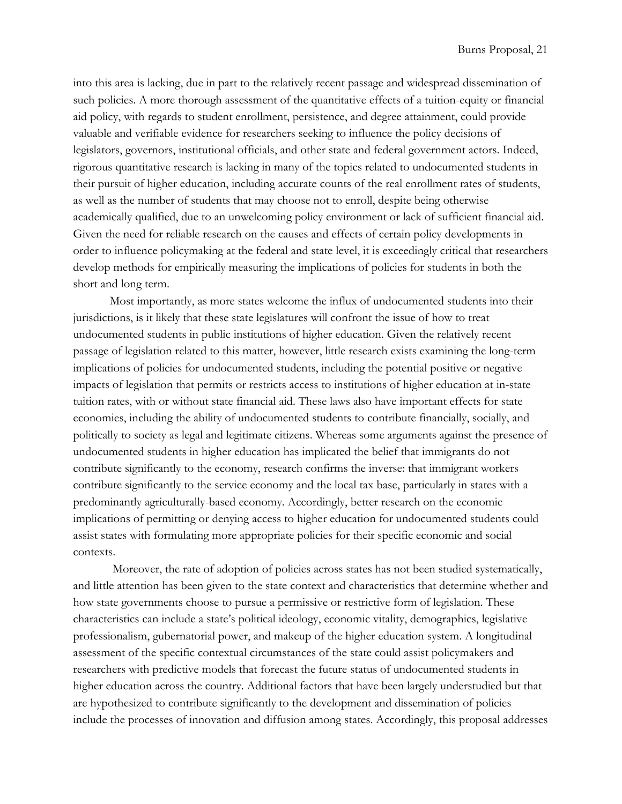into this area is lacking, due in part to the relatively recent passage and widespread dissemination of such policies. A more thorough assessment of the quantitative effects of a tuition-equity or financial aid policy, with regards to student enrollment, persistence, and degree attainment, could provide valuable and verifiable evidence for researchers seeking to influence the policy decisions of legislators, governors, institutional officials, and other state and federal government actors. Indeed, rigorous quantitative research is lacking in many of the topics related to undocumented students in their pursuit of higher education, including accurate counts of the real enrollment rates of students, as well as the number of students that may choose not to enroll, despite being otherwise academically qualified, due to an unwelcoming policy environment or lack of sufficient financial aid. Given the need for reliable research on the causes and effects of certain policy developments in order to influence policymaking at the federal and state level, it is exceedingly critical that researchers develop methods for empirically measuring the implications of policies for students in both the short and long term.

Most importantly, as more states welcome the influx of undocumented students into their jurisdictions, is it likely that these state legislatures will confront the issue of how to treat undocumented students in public institutions of higher education. Given the relatively recent passage of legislation related to this matter, however, little research exists examining the long-term implications of policies for undocumented students, including the potential positive or negative impacts of legislation that permits or restricts access to institutions of higher education at in-state tuition rates, with or without state financial aid. These laws also have important effects for state economies, including the ability of undocumented students to contribute financially, socially, and politically to society as legal and legitimate citizens. Whereas some arguments against the presence of undocumented students in higher education has implicated the belief that immigrants do not contribute significantly to the economy, research confirms the inverse: that immigrant workers contribute significantly to the service economy and the local tax base, particularly in states with a predominantly agriculturally-based economy. Accordingly, better research on the economic implications of permitting or denying access to higher education for undocumented students could assist states with formulating more appropriate policies for their specific economic and social contexts.

 Moreover, the rate of adoption of policies across states has not been studied systematically, and little attention has been given to the state context and characteristics that determine whether and how state governments choose to pursue a permissive or restrictive form of legislation. These characteristics can include a state's political ideology, economic vitality, demographics, legislative professionalism, gubernatorial power, and makeup of the higher education system. A longitudinal assessment of the specific contextual circumstances of the state could assist policymakers and researchers with predictive models that forecast the future status of undocumented students in higher education across the country. Additional factors that have been largely understudied but that are hypothesized to contribute significantly to the development and dissemination of policies include the processes of innovation and diffusion among states. Accordingly, this proposal addresses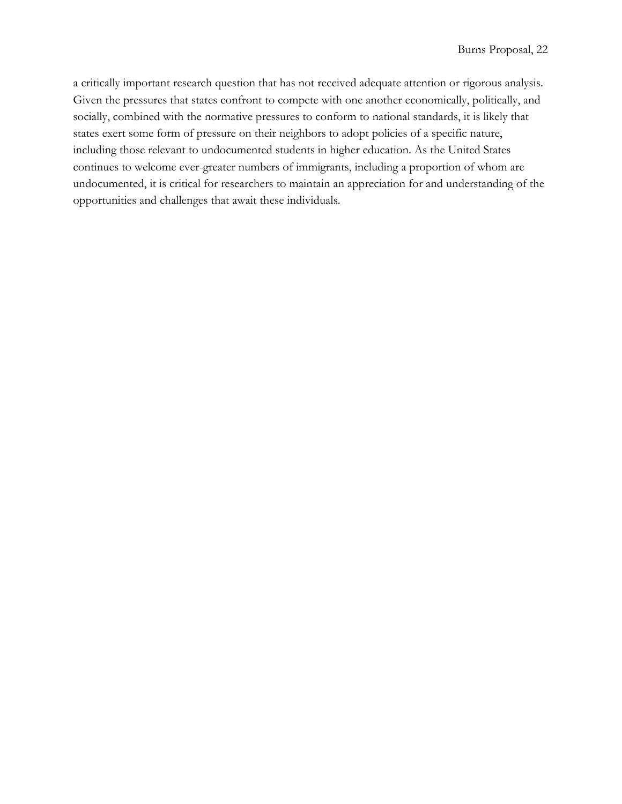a critically important research question that has not received adequate attention or rigorous analysis. Given the pressures that states confront to compete with one another economically, politically, and socially, combined with the normative pressures to conform to national standards, it is likely that states exert some form of pressure on their neighbors to adopt policies of a specific nature, including those relevant to undocumented students in higher education. As the United States continues to welcome ever-greater numbers of immigrants, including a proportion of whom are undocumented, it is critical for researchers to maintain an appreciation for and understanding of the opportunities and challenges that await these individuals.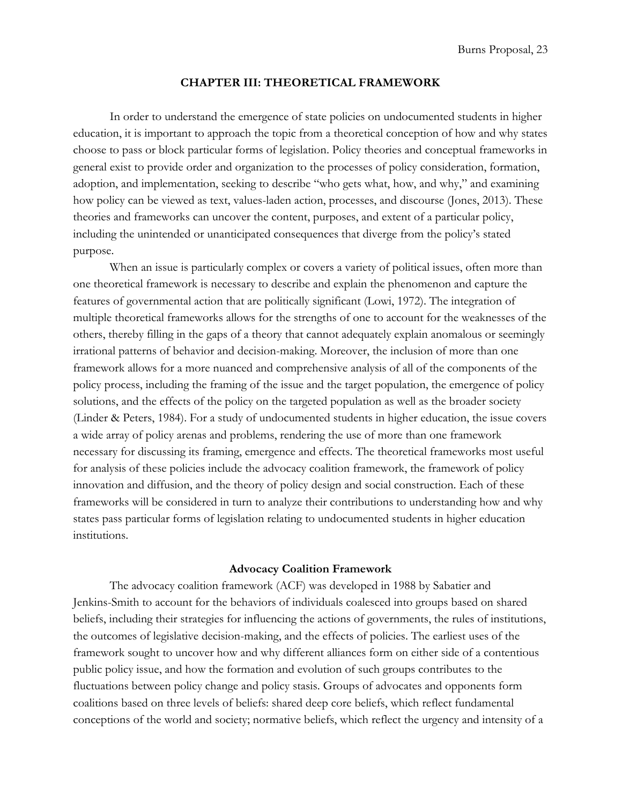#### **CHAPTER III: THEORETICAL FRAMEWORK**

<span id="page-22-0"></span>In order to understand the emergence of state policies on undocumented students in higher education, it is important to approach the topic from a theoretical conception of how and why states choose to pass or block particular forms of legislation. Policy theories and conceptual frameworks in general exist to provide order and organization to the processes of policy consideration, formation, adoption, and implementation, seeking to describe "who gets what, how, and why," and examining how policy can be viewed as text, values-laden action, processes, and discourse (Jones, 2013). These theories and frameworks can uncover the content, purposes, and extent of a particular policy, including the unintended or unanticipated consequences that diverge from the policy's stated purpose.

When an issue is particularly complex or covers a variety of political issues, often more than one theoretical framework is necessary to describe and explain the phenomenon and capture the features of governmental action that are politically significant (Lowi, 1972). The integration of multiple theoretical frameworks allows for the strengths of one to account for the weaknesses of the others, thereby filling in the gaps of a theory that cannot adequately explain anomalous or seemingly irrational patterns of behavior and decision-making. Moreover, the inclusion of more than one framework allows for a more nuanced and comprehensive analysis of all of the components of the policy process, including the framing of the issue and the target population, the emergence of policy solutions, and the effects of the policy on the targeted population as well as the broader society (Linder & Peters, 1984). For a study of undocumented students in higher education, the issue covers a wide array of policy arenas and problems, rendering the use of more than one framework necessary for discussing its framing, emergence and effects. The theoretical frameworks most useful for analysis of these policies include the advocacy coalition framework, the framework of policy innovation and diffusion, and the theory of policy design and social construction. Each of these frameworks will be considered in turn to analyze their contributions to understanding how and why states pass particular forms of legislation relating to undocumented students in higher education institutions.

## **Advocacy Coalition Framework**

<span id="page-22-1"></span>The advocacy coalition framework (ACF) was developed in 1988 by Sabatier and Jenkins-Smith to account for the behaviors of individuals coalesced into groups based on shared beliefs, including their strategies for influencing the actions of governments, the rules of institutions, the outcomes of legislative decision-making, and the effects of policies. The earliest uses of the framework sought to uncover how and why different alliances form on either side of a contentious public policy issue, and how the formation and evolution of such groups contributes to the fluctuations between policy change and policy stasis. Groups of advocates and opponents form coalitions based on three levels of beliefs: shared deep core beliefs, which reflect fundamental conceptions of the world and society; normative beliefs, which reflect the urgency and intensity of a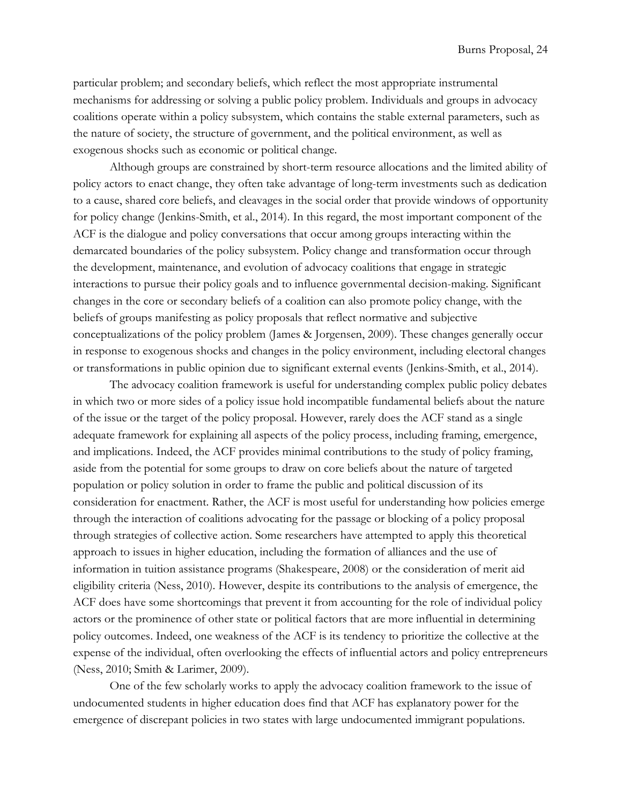particular problem; and secondary beliefs, which reflect the most appropriate instrumental mechanisms for addressing or solving a public policy problem. Individuals and groups in advocacy coalitions operate within a policy subsystem, which contains the stable external parameters, such as the nature of society, the structure of government, and the political environment, as well as exogenous shocks such as economic or political change.

Although groups are constrained by short-term resource allocations and the limited ability of policy actors to enact change, they often take advantage of long-term investments such as dedication to a cause, shared core beliefs, and cleavages in the social order that provide windows of opportunity for policy change (Jenkins-Smith, et al., 2014). In this regard, the most important component of the ACF is the dialogue and policy conversations that occur among groups interacting within the demarcated boundaries of the policy subsystem. Policy change and transformation occur through the development, maintenance, and evolution of advocacy coalitions that engage in strategic interactions to pursue their policy goals and to influence governmental decision-making. Significant changes in the core or secondary beliefs of a coalition can also promote policy change, with the beliefs of groups manifesting as policy proposals that reflect normative and subjective conceptualizations of the policy problem (James & Jorgensen, 2009). These changes generally occur in response to exogenous shocks and changes in the policy environment, including electoral changes or transformations in public opinion due to significant external events (Jenkins-Smith, et al., 2014).

The advocacy coalition framework is useful for understanding complex public policy debates in which two or more sides of a policy issue hold incompatible fundamental beliefs about the nature of the issue or the target of the policy proposal. However, rarely does the ACF stand as a single adequate framework for explaining all aspects of the policy process, including framing, emergence, and implications. Indeed, the ACF provides minimal contributions to the study of policy framing, aside from the potential for some groups to draw on core beliefs about the nature of targeted population or policy solution in order to frame the public and political discussion of its consideration for enactment. Rather, the ACF is most useful for understanding how policies emerge through the interaction of coalitions advocating for the passage or blocking of a policy proposal through strategies of collective action. Some researchers have attempted to apply this theoretical approach to issues in higher education, including the formation of alliances and the use of information in tuition assistance programs (Shakespeare, 2008) or the consideration of merit aid eligibility criteria (Ness, 2010). However, despite its contributions to the analysis of emergence, the ACF does have some shortcomings that prevent it from accounting for the role of individual policy actors or the prominence of other state or political factors that are more influential in determining policy outcomes. Indeed, one weakness of the ACF is its tendency to prioritize the collective at the expense of the individual, often overlooking the effects of influential actors and policy entrepreneurs (Ness, 2010; Smith & Larimer, 2009).

One of the few scholarly works to apply the advocacy coalition framework to the issue of undocumented students in higher education does find that ACF has explanatory power for the emergence of discrepant policies in two states with large undocumented immigrant populations.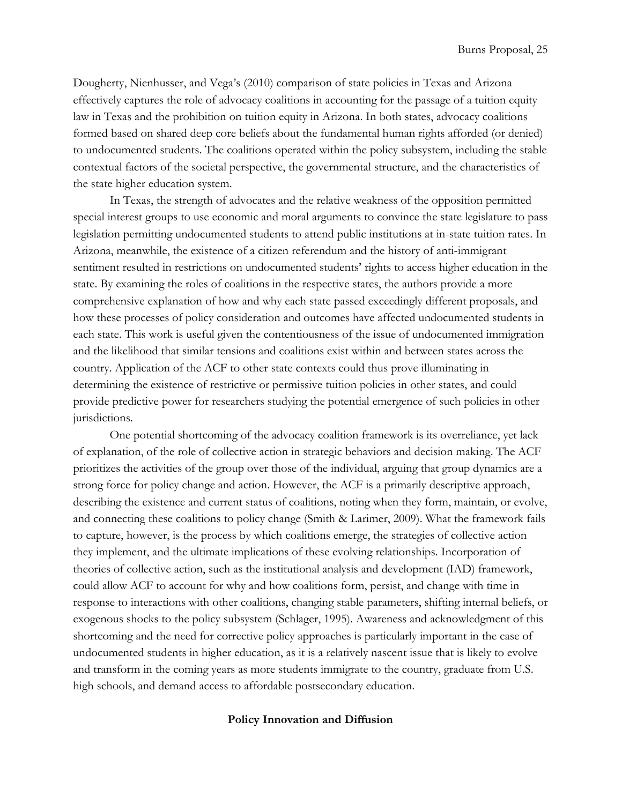Dougherty, Nienhusser, and Vega's (2010) comparison of state policies in Texas and Arizona effectively captures the role of advocacy coalitions in accounting for the passage of a tuition equity law in Texas and the prohibition on tuition equity in Arizona. In both states, advocacy coalitions formed based on shared deep core beliefs about the fundamental human rights afforded (or denied) to undocumented students. The coalitions operated within the policy subsystem, including the stable contextual factors of the societal perspective, the governmental structure, and the characteristics of the state higher education system.

In Texas, the strength of advocates and the relative weakness of the opposition permitted special interest groups to use economic and moral arguments to convince the state legislature to pass legislation permitting undocumented students to attend public institutions at in-state tuition rates. In Arizona, meanwhile, the existence of a citizen referendum and the history of anti-immigrant sentiment resulted in restrictions on undocumented students' rights to access higher education in the state. By examining the roles of coalitions in the respective states, the authors provide a more comprehensive explanation of how and why each state passed exceedingly different proposals, and how these processes of policy consideration and outcomes have affected undocumented students in each state. This work is useful given the contentiousness of the issue of undocumented immigration and the likelihood that similar tensions and coalitions exist within and between states across the country. Application of the ACF to other state contexts could thus prove illuminating in determining the existence of restrictive or permissive tuition policies in other states, and could provide predictive power for researchers studying the potential emergence of such policies in other jurisdictions.

One potential shortcoming of the advocacy coalition framework is its overreliance, yet lack of explanation, of the role of collective action in strategic behaviors and decision making. The ACF prioritizes the activities of the group over those of the individual, arguing that group dynamics are a strong force for policy change and action. However, the ACF is a primarily descriptive approach, describing the existence and current status of coalitions, noting when they form, maintain, or evolve, and connecting these coalitions to policy change (Smith & Larimer, 2009). What the framework fails to capture, however, is the process by which coalitions emerge, the strategies of collective action they implement, and the ultimate implications of these evolving relationships. Incorporation of theories of collective action, such as the institutional analysis and development (IAD) framework, could allow ACF to account for why and how coalitions form, persist, and change with time in response to interactions with other coalitions, changing stable parameters, shifting internal beliefs, or exogenous shocks to the policy subsystem (Schlager, 1995). Awareness and acknowledgment of this shortcoming and the need for corrective policy approaches is particularly important in the case of undocumented students in higher education, as it is a relatively nascent issue that is likely to evolve and transform in the coming years as more students immigrate to the country, graduate from U.S. high schools, and demand access to affordable postsecondary education.

## <span id="page-24-0"></span>**Policy Innovation and Diffusion**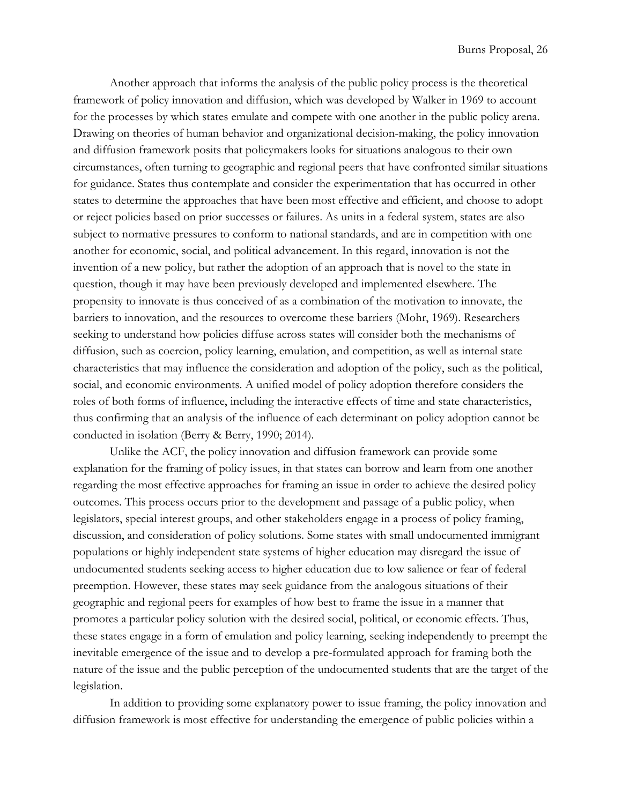Another approach that informs the analysis of the public policy process is the theoretical framework of policy innovation and diffusion, which was developed by Walker in 1969 to account for the processes by which states emulate and compete with one another in the public policy arena. Drawing on theories of human behavior and organizational decision-making, the policy innovation and diffusion framework posits that policymakers looks for situations analogous to their own circumstances, often turning to geographic and regional peers that have confronted similar situations for guidance. States thus contemplate and consider the experimentation that has occurred in other states to determine the approaches that have been most effective and efficient, and choose to adopt or reject policies based on prior successes or failures. As units in a federal system, states are also subject to normative pressures to conform to national standards, and are in competition with one another for economic, social, and political advancement. In this regard, innovation is not the invention of a new policy, but rather the adoption of an approach that is novel to the state in question, though it may have been previously developed and implemented elsewhere. The propensity to innovate is thus conceived of as a combination of the motivation to innovate, the barriers to innovation, and the resources to overcome these barriers (Mohr, 1969). Researchers seeking to understand how policies diffuse across states will consider both the mechanisms of diffusion, such as coercion, policy learning, emulation, and competition, as well as internal state characteristics that may influence the consideration and adoption of the policy, such as the political, social, and economic environments. A unified model of policy adoption therefore considers the roles of both forms of influence, including the interactive effects of time and state characteristics, thus confirming that an analysis of the influence of each determinant on policy adoption cannot be conducted in isolation (Berry & Berry, 1990; 2014).

Unlike the ACF, the policy innovation and diffusion framework can provide some explanation for the framing of policy issues, in that states can borrow and learn from one another regarding the most effective approaches for framing an issue in order to achieve the desired policy outcomes. This process occurs prior to the development and passage of a public policy, when legislators, special interest groups, and other stakeholders engage in a process of policy framing, discussion, and consideration of policy solutions. Some states with small undocumented immigrant populations or highly independent state systems of higher education may disregard the issue of undocumented students seeking access to higher education due to low salience or fear of federal preemption. However, these states may seek guidance from the analogous situations of their geographic and regional peers for examples of how best to frame the issue in a manner that promotes a particular policy solution with the desired social, political, or economic effects. Thus, these states engage in a form of emulation and policy learning, seeking independently to preempt the inevitable emergence of the issue and to develop a pre-formulated approach for framing both the nature of the issue and the public perception of the undocumented students that are the target of the legislation.

In addition to providing some explanatory power to issue framing, the policy innovation and diffusion framework is most effective for understanding the emergence of public policies within a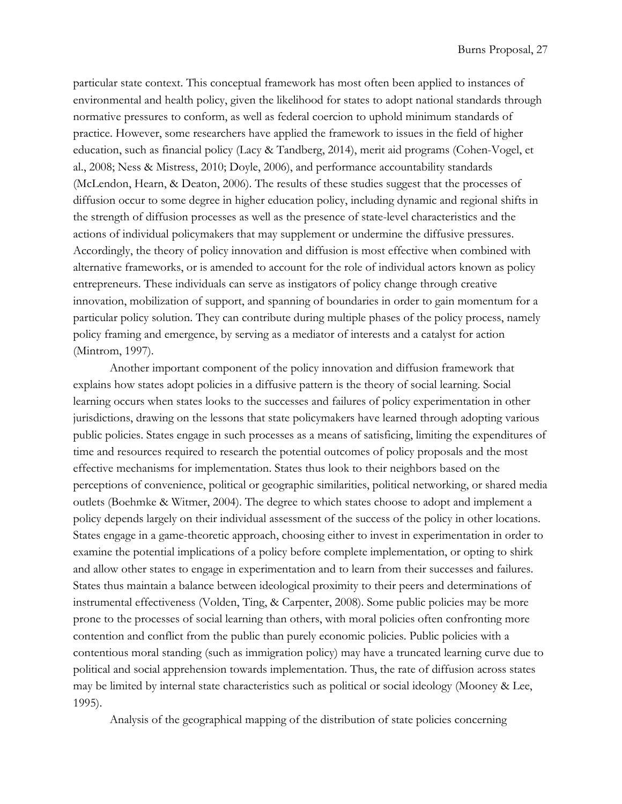particular state context. This conceptual framework has most often been applied to instances of environmental and health policy, given the likelihood for states to adopt national standards through normative pressures to conform, as well as federal coercion to uphold minimum standards of practice. However, some researchers have applied the framework to issues in the field of higher education, such as financial policy (Lacy & Tandberg, 2014), merit aid programs (Cohen-Vogel, et al., 2008; Ness & Mistress, 2010; Doyle, 2006), and performance accountability standards (McLendon, Hearn, & Deaton, 2006). The results of these studies suggest that the processes of diffusion occur to some degree in higher education policy, including dynamic and regional shifts in the strength of diffusion processes as well as the presence of state-level characteristics and the actions of individual policymakers that may supplement or undermine the diffusive pressures. Accordingly, the theory of policy innovation and diffusion is most effective when combined with alternative frameworks, or is amended to account for the role of individual actors known as policy entrepreneurs. These individuals can serve as instigators of policy change through creative innovation, mobilization of support, and spanning of boundaries in order to gain momentum for a particular policy solution. They can contribute during multiple phases of the policy process, namely policy framing and emergence, by serving as a mediator of interests and a catalyst for action (Mintrom, 1997).

Another important component of the policy innovation and diffusion framework that explains how states adopt policies in a diffusive pattern is the theory of social learning. Social learning occurs when states looks to the successes and failures of policy experimentation in other jurisdictions, drawing on the lessons that state policymakers have learned through adopting various public policies. States engage in such processes as a means of satisficing, limiting the expenditures of time and resources required to research the potential outcomes of policy proposals and the most effective mechanisms for implementation. States thus look to their neighbors based on the perceptions of convenience, political or geographic similarities, political networking, or shared media outlets (Boehmke & Witmer, 2004). The degree to which states choose to adopt and implement a policy depends largely on their individual assessment of the success of the policy in other locations. States engage in a game-theoretic approach, choosing either to invest in experimentation in order to examine the potential implications of a policy before complete implementation, or opting to shirk and allow other states to engage in experimentation and to learn from their successes and failures. States thus maintain a balance between ideological proximity to their peers and determinations of instrumental effectiveness (Volden, Ting, & Carpenter, 2008). Some public policies may be more prone to the processes of social learning than others, with moral policies often confronting more contention and conflict from the public than purely economic policies. Public policies with a contentious moral standing (such as immigration policy) may have a truncated learning curve due to political and social apprehension towards implementation. Thus, the rate of diffusion across states may be limited by internal state characteristics such as political or social ideology (Mooney & Lee, 1995).

Analysis of the geographical mapping of the distribution of state policies concerning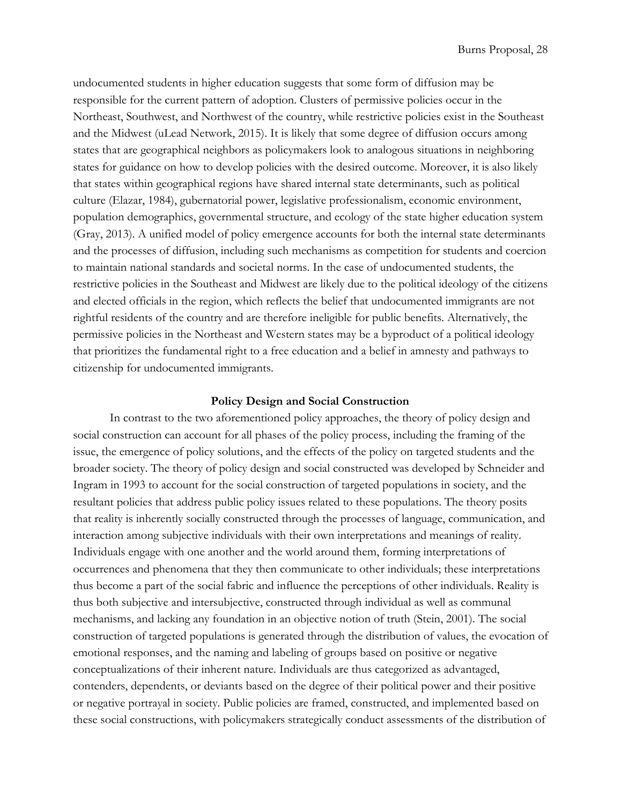undocumented students in higher education suggests that some form of diffusion may be responsible for the current pattern of adoption. Clusters of permissive policies occur in the Northeast, Southwest, and Northwest of the country, while restrictive policies exist in the Southeast and the Midwest (uLead Network, 2015). It is likely that some degree of diffusion occurs among states that are geographical neighbors as policymakers look to analogous situations in neighboring states for guidance on how to develop policies with the desired outcome. Moreover, it is also likely that states within geographical regions have shared internal state determinants, such as political culture (Elazar, 1984), gubernatorial power, legislative professionalism, economic environment, population demographics, governmental structure, and ecology of the state higher education system (Gray, 2013). A unified model of policy emergence accounts for both the internal state determinants and the processes of diffusion, including such mechanisms as competition for students and coercion to maintain national standards and societal norms. In the case of undocumented students, the restrictive policies in the Southeast and Midwest are likely due to the political ideology of the citizens and elected officials in the region, which reflects the belief that undocumented immigrants are not rightful residents of the country and are therefore ineligible for public benefits. Alternatively, the permissive policies in the Northeast and Western states may be a byproduct of a political ideology that prioritizes the fundamental right to a free education and a belief in amnesty and pathways to citizenship for undocumented immigrants.

#### **Policy Design and Social Construction**

<span id="page-27-0"></span>In contrast to the two aforementioned policy approaches, the theory of policy design and social construction can account for all phases of the policy process, including the framing of the issue, the emergence of policy solutions, and the effects of the policy on targeted students and the broader society. The theory of policy design and social constructed was developed by Schneider and Ingram in 1993 to account for the social construction of targeted populations in society, and the resultant policies that address public policy issues related to these populations. The theory posits that reality is inherently socially constructed through the processes of language, communication, and interaction among subjective individuals with their own interpretations and meanings of reality. Individuals engage with one another and the world around them, forming interpretations of occurrences and phenomena that they then communicate to other individuals; these interpretations thus become a part of the social fabric and influence the perceptions of other individuals. Reality is thus both subjective and intersubjective, constructed through individual as well as communal mechanisms, and lacking any foundation in an objective notion of truth (Stein, 2001). The social construction of targeted populations is generated through the distribution of values, the evocation of emotional responses, and the naming and labeling of groups based on positive or negative conceptualizations of their inherent nature. Individuals are thus categorized as advantaged, contenders, dependents, or deviants based on the degree of their political power and their positive or negative portrayal in society. Public policies are framed, constructed, and implemented based on these social constructions, with policymakers strategically conduct assessments of the distribution of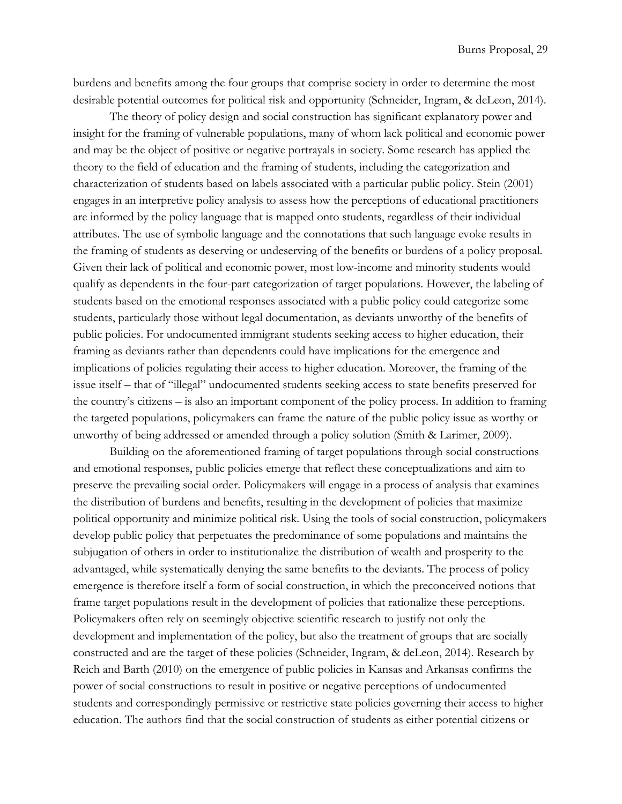burdens and benefits among the four groups that comprise society in order to determine the most desirable potential outcomes for political risk and opportunity (Schneider, Ingram, & deLeon, 2014).

The theory of policy design and social construction has significant explanatory power and insight for the framing of vulnerable populations, many of whom lack political and economic power and may be the object of positive or negative portrayals in society. Some research has applied the theory to the field of education and the framing of students, including the categorization and characterization of students based on labels associated with a particular public policy. Stein (2001) engages in an interpretive policy analysis to assess how the perceptions of educational practitioners are informed by the policy language that is mapped onto students, regardless of their individual attributes. The use of symbolic language and the connotations that such language evoke results in the framing of students as deserving or undeserving of the benefits or burdens of a policy proposal. Given their lack of political and economic power, most low-income and minority students would qualify as dependents in the four-part categorization of target populations. However, the labeling of students based on the emotional responses associated with a public policy could categorize some students, particularly those without legal documentation, as deviants unworthy of the benefits of public policies. For undocumented immigrant students seeking access to higher education, their framing as deviants rather than dependents could have implications for the emergence and implications of policies regulating their access to higher education. Moreover, the framing of the issue itself – that of "illegal" undocumented students seeking access to state benefits preserved for the country's citizens – is also an important component of the policy process. In addition to framing the targeted populations, policymakers can frame the nature of the public policy issue as worthy or unworthy of being addressed or amended through a policy solution (Smith & Larimer, 2009).

Building on the aforementioned framing of target populations through social constructions and emotional responses, public policies emerge that reflect these conceptualizations and aim to preserve the prevailing social order. Policymakers will engage in a process of analysis that examines the distribution of burdens and benefits, resulting in the development of policies that maximize political opportunity and minimize political risk. Using the tools of social construction, policymakers develop public policy that perpetuates the predominance of some populations and maintains the subjugation of others in order to institutionalize the distribution of wealth and prosperity to the advantaged, while systematically denying the same benefits to the deviants. The process of policy emergence is therefore itself a form of social construction, in which the preconceived notions that frame target populations result in the development of policies that rationalize these perceptions. Policymakers often rely on seemingly objective scientific research to justify not only the development and implementation of the policy, but also the treatment of groups that are socially constructed and are the target of these policies (Schneider, Ingram, & deLeon, 2014). Research by Reich and Barth (2010) on the emergence of public policies in Kansas and Arkansas confirms the power of social constructions to result in positive or negative perceptions of undocumented students and correspondingly permissive or restrictive state policies governing their access to higher education. The authors find that the social construction of students as either potential citizens or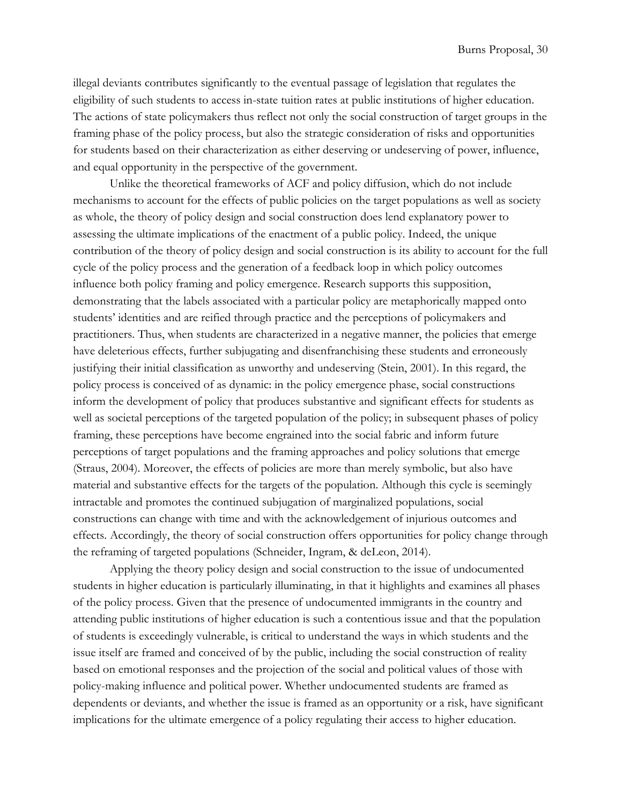illegal deviants contributes significantly to the eventual passage of legislation that regulates the eligibility of such students to access in-state tuition rates at public institutions of higher education. The actions of state policymakers thus reflect not only the social construction of target groups in the framing phase of the policy process, but also the strategic consideration of risks and opportunities for students based on their characterization as either deserving or undeserving of power, influence, and equal opportunity in the perspective of the government.

Unlike the theoretical frameworks of ACF and policy diffusion, which do not include mechanisms to account for the effects of public policies on the target populations as well as society as whole, the theory of policy design and social construction does lend explanatory power to assessing the ultimate implications of the enactment of a public policy. Indeed, the unique contribution of the theory of policy design and social construction is its ability to account for the full cycle of the policy process and the generation of a feedback loop in which policy outcomes influence both policy framing and policy emergence. Research supports this supposition, demonstrating that the labels associated with a particular policy are metaphorically mapped onto students' identities and are reified through practice and the perceptions of policymakers and practitioners. Thus, when students are characterized in a negative manner, the policies that emerge have deleterious effects, further subjugating and disenfranchising these students and erroneously justifying their initial classification as unworthy and undeserving (Stein, 2001). In this regard, the policy process is conceived of as dynamic: in the policy emergence phase, social constructions inform the development of policy that produces substantive and significant effects for students as well as societal perceptions of the targeted population of the policy; in subsequent phases of policy framing, these perceptions have become engrained into the social fabric and inform future perceptions of target populations and the framing approaches and policy solutions that emerge (Straus, 2004). Moreover, the effects of policies are more than merely symbolic, but also have material and substantive effects for the targets of the population. Although this cycle is seemingly intractable and promotes the continued subjugation of marginalized populations, social constructions can change with time and with the acknowledgement of injurious outcomes and effects. Accordingly, the theory of social construction offers opportunities for policy change through the reframing of targeted populations (Schneider, Ingram, & deLeon, 2014).

Applying the theory policy design and social construction to the issue of undocumented students in higher education is particularly illuminating, in that it highlights and examines all phases of the policy process. Given that the presence of undocumented immigrants in the country and attending public institutions of higher education is such a contentious issue and that the population of students is exceedingly vulnerable, is critical to understand the ways in which students and the issue itself are framed and conceived of by the public, including the social construction of reality based on emotional responses and the projection of the social and political values of those with policy-making influence and political power. Whether undocumented students are framed as dependents or deviants, and whether the issue is framed as an opportunity or a risk, have significant implications for the ultimate emergence of a policy regulating their access to higher education.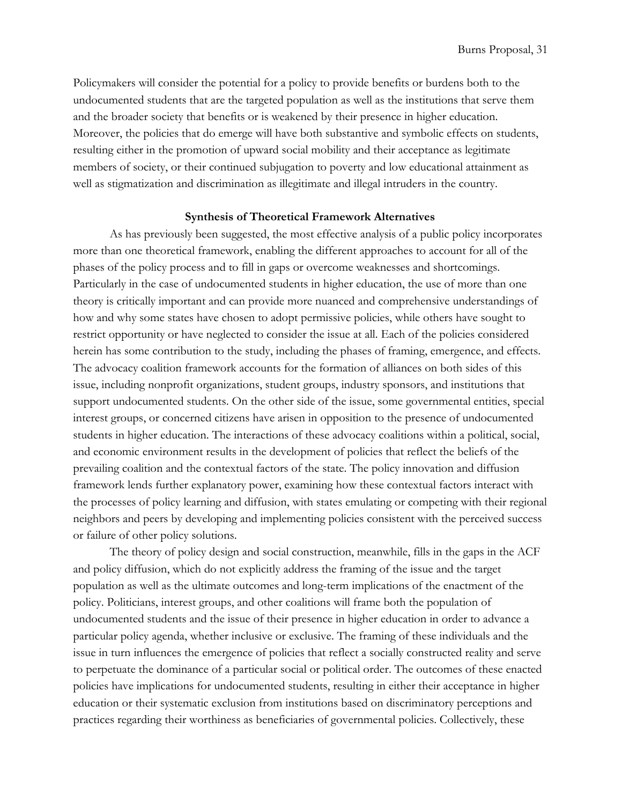Policymakers will consider the potential for a policy to provide benefits or burdens both to the undocumented students that are the targeted population as well as the institutions that serve them and the broader society that benefits or is weakened by their presence in higher education. Moreover, the policies that do emerge will have both substantive and symbolic effects on students, resulting either in the promotion of upward social mobility and their acceptance as legitimate members of society, or their continued subjugation to poverty and low educational attainment as well as stigmatization and discrimination as illegitimate and illegal intruders in the country.

#### **Synthesis of Theoretical Framework Alternatives**

<span id="page-30-0"></span>As has previously been suggested, the most effective analysis of a public policy incorporates more than one theoretical framework, enabling the different approaches to account for all of the phases of the policy process and to fill in gaps or overcome weaknesses and shortcomings. Particularly in the case of undocumented students in higher education, the use of more than one theory is critically important and can provide more nuanced and comprehensive understandings of how and why some states have chosen to adopt permissive policies, while others have sought to restrict opportunity or have neglected to consider the issue at all. Each of the policies considered herein has some contribution to the study, including the phases of framing, emergence, and effects. The advocacy coalition framework accounts for the formation of alliances on both sides of this issue, including nonprofit organizations, student groups, industry sponsors, and institutions that support undocumented students. On the other side of the issue, some governmental entities, special interest groups, or concerned citizens have arisen in opposition to the presence of undocumented students in higher education. The interactions of these advocacy coalitions within a political, social, and economic environment results in the development of policies that reflect the beliefs of the prevailing coalition and the contextual factors of the state. The policy innovation and diffusion framework lends further explanatory power, examining how these contextual factors interact with the processes of policy learning and diffusion, with states emulating or competing with their regional neighbors and peers by developing and implementing policies consistent with the perceived success or failure of other policy solutions.

The theory of policy design and social construction, meanwhile, fills in the gaps in the ACF and policy diffusion, which do not explicitly address the framing of the issue and the target population as well as the ultimate outcomes and long-term implications of the enactment of the policy. Politicians, interest groups, and other coalitions will frame both the population of undocumented students and the issue of their presence in higher education in order to advance a particular policy agenda, whether inclusive or exclusive. The framing of these individuals and the issue in turn influences the emergence of policies that reflect a socially constructed reality and serve to perpetuate the dominance of a particular social or political order. The outcomes of these enacted policies have implications for undocumented students, resulting in either their acceptance in higher education or their systematic exclusion from institutions based on discriminatory perceptions and practices regarding their worthiness as beneficiaries of governmental policies. Collectively, these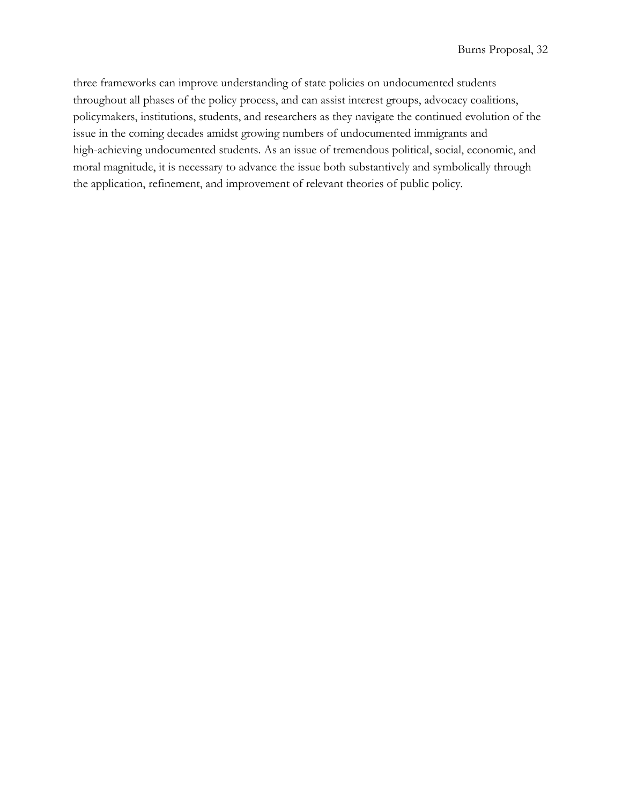three frameworks can improve understanding of state policies on undocumented students throughout all phases of the policy process, and can assist interest groups, advocacy coalitions, policymakers, institutions, students, and researchers as they navigate the continued evolution of the issue in the coming decades amidst growing numbers of undocumented immigrants and high-achieving undocumented students. As an issue of tremendous political, social, economic, and moral magnitude, it is necessary to advance the issue both substantively and symbolically through the application, refinement, and improvement of relevant theories of public policy.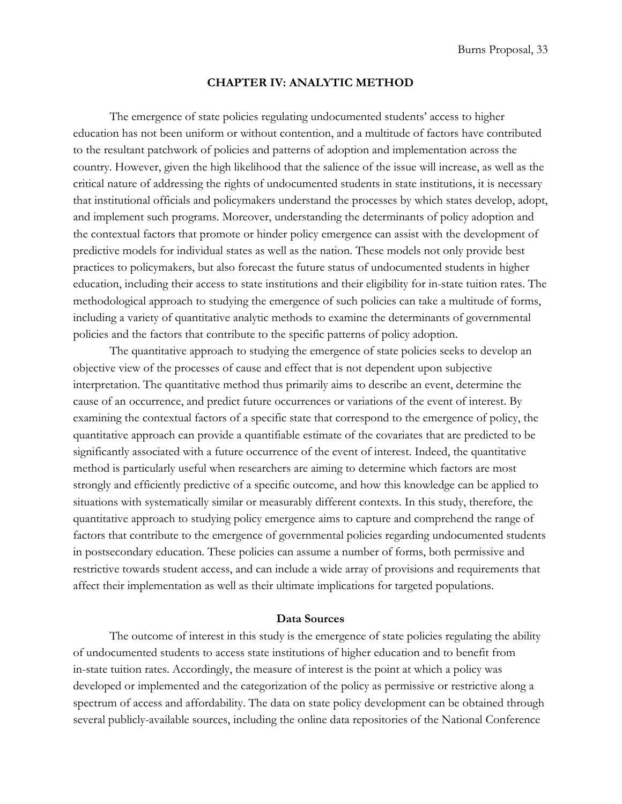## **CHAPTER IV: ANALYTIC METHOD**

<span id="page-32-1"></span>The emergence of state policies regulating undocumented students' access to higher education has not been uniform or without contention, and a multitude of factors have contributed to the resultant patchwork of policies and patterns of adoption and implementation across the country. However, given the high likelihood that the salience of the issue will increase, as well as the critical nature of addressing the rights of undocumented students in state institutions, it is necessary that institutional officials and policymakers understand the processes by which states develop, adopt, and implement such programs. Moreover, understanding the determinants of policy adoption and the contextual factors that promote or hinder policy emergence can assist with the development of predictive models for individual states as well as the nation. These models not only provide best practices to policymakers, but also forecast the future status of undocumented students in higher education, including their access to state institutions and their eligibility for in-state tuition rates. The methodological approach to studying the emergence of such policies can take a multitude of forms, including a variety of quantitative analytic methods to examine the determinants of governmental policies and the factors that contribute to the specific patterns of policy adoption.

The quantitative approach to studying the emergence of state policies seeks to develop an objective view of the processes of cause and effect that is not dependent upon subjective interpretation. The quantitative method thus primarily aims to describe an event, determine the cause of an occurrence, and predict future occurrences or variations of the event of interest. By examining the contextual factors of a specific state that correspond to the emergence of policy, the quantitative approach can provide a quantifiable estimate of the covariates that are predicted to be significantly associated with a future occurrence of the event of interest. Indeed, the quantitative method is particularly useful when researchers are aiming to determine which factors are most strongly and efficiently predictive of a specific outcome, and how this knowledge can be applied to situations with systematically similar or measurably different contexts. In this study, therefore, the quantitative approach to studying policy emergence aims to capture and comprehend the range of factors that contribute to the emergence of governmental policies regarding undocumented students in postsecondary education. These policies can assume a number of forms, both permissive and restrictive towards student access, and can include a wide array of provisions and requirements that affect their implementation as well as their ultimate implications for targeted populations.

# **Data Sources**

<span id="page-32-0"></span>The outcome of interest in this study is the emergence of state policies regulating the ability of undocumented students to access state institutions of higher education and to benefit from in-state tuition rates. Accordingly, the measure of interest is the point at which a policy was developed or implemented and the categorization of the policy as permissive or restrictive along a spectrum of access and affordability. The data on state policy development can be obtained through several publicly-available sources, including the online data repositories of the National Conference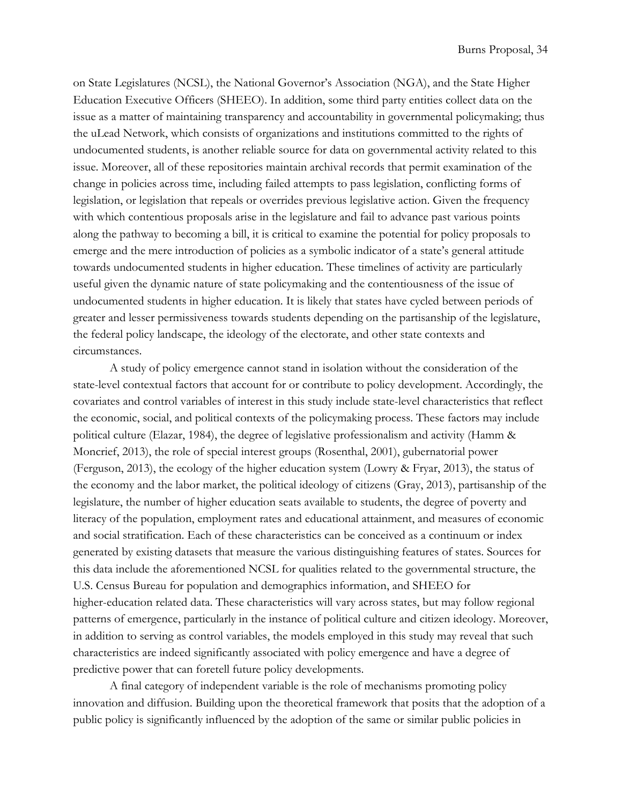on State Legislatures (NCSL), the National Governor's Association (NGA), and the State Higher Education Executive Officers (SHEEO). In addition, some third party entities collect data on the issue as a matter of maintaining transparency and accountability in governmental policymaking; thus the uLead Network, which consists of organizations and institutions committed to the rights of undocumented students, is another reliable source for data on governmental activity related to this issue. Moreover, all of these repositories maintain archival records that permit examination of the change in policies across time, including failed attempts to pass legislation, conflicting forms of legislation, or legislation that repeals or overrides previous legislative action. Given the frequency with which contentious proposals arise in the legislature and fail to advance past various points along the pathway to becoming a bill, it is critical to examine the potential for policy proposals to emerge and the mere introduction of policies as a symbolic indicator of a state's general attitude towards undocumented students in higher education. These timelines of activity are particularly useful given the dynamic nature of state policymaking and the contentiousness of the issue of undocumented students in higher education. It is likely that states have cycled between periods of greater and lesser permissiveness towards students depending on the partisanship of the legislature, the federal policy landscape, the ideology of the electorate, and other state contexts and circumstances.

A study of policy emergence cannot stand in isolation without the consideration of the state-level contextual factors that account for or contribute to policy development. Accordingly, the covariates and control variables of interest in this study include state-level characteristics that reflect the economic, social, and political contexts of the policymaking process. These factors may include political culture (Elazar, 1984), the degree of legislative professionalism and activity (Hamm & Moncrief, 2013), the role of special interest groups (Rosenthal, 2001), gubernatorial power (Ferguson, 2013), the ecology of the higher education system (Lowry & Fryar, 2013), the status of the economy and the labor market, the political ideology of citizens (Gray, 2013), partisanship of the legislature, the number of higher education seats available to students, the degree of poverty and literacy of the population, employment rates and educational attainment, and measures of economic and social stratification. Each of these characteristics can be conceived as a continuum or index generated by existing datasets that measure the various distinguishing features of states. Sources for this data include the aforementioned NCSL for qualities related to the governmental structure, the U.S. Census Bureau for population and demographics information, and SHEEO for higher-education related data. These characteristics will vary across states, but may follow regional patterns of emergence, particularly in the instance of political culture and citizen ideology. Moreover, in addition to serving as control variables, the models employed in this study may reveal that such characteristics are indeed significantly associated with policy emergence and have a degree of predictive power that can foretell future policy developments.

A final category of independent variable is the role of mechanisms promoting policy innovation and diffusion. Building upon the theoretical framework that posits that the adoption of a public policy is significantly influenced by the adoption of the same or similar public policies in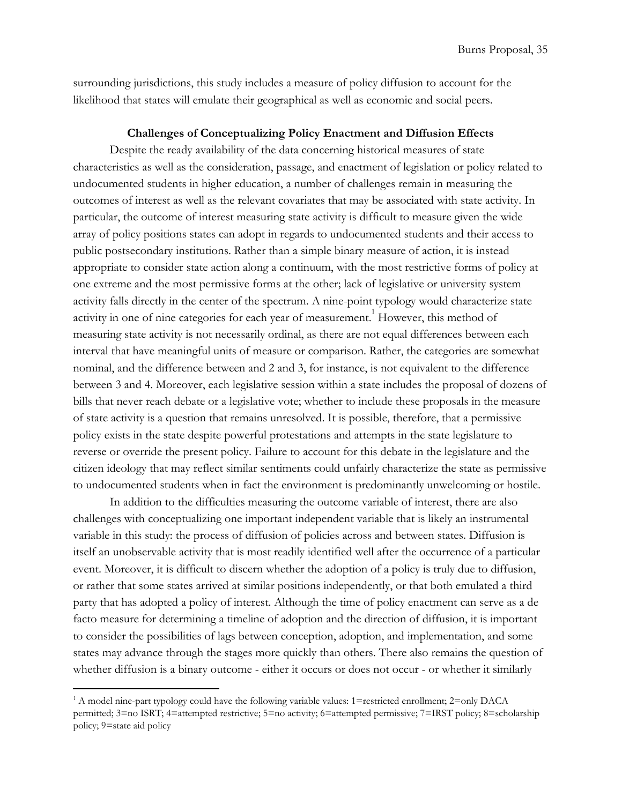surrounding jurisdictions, this study includes a measure of policy diffusion to account for the likelihood that states will emulate their geographical as well as economic and social peers.

# **Challenges of Conceptualizing Policy Enactment and Diffusion Effects**

<span id="page-34-0"></span>Despite the ready availability of the data concerning historical measures of state characteristics as well as the consideration, passage, and enactment of legislation or policy related to undocumented students in higher education, a number of challenges remain in measuring the outcomes of interest as well as the relevant covariates that may be associated with state activity. In particular, the outcome of interest measuring state activity is difficult to measure given the wide array of policy positions states can adopt in regards to undocumented students and their access to public postsecondary institutions. Rather than a simple binary measure of action, it is instead appropriate to consider state action along a continuum, with the most restrictive forms of policy at one extreme and the most permissive forms at the other; lack of legislative or university system activity falls directly in the center of the spectrum. A nine-point typology would characterize state activity in one of nine categories for each year of measurement.<sup>1</sup> However, this method of measuring state activity is not necessarily ordinal, as there are not equal differences between each interval that have meaningful units of measure or comparison. Rather, the categories are somewhat nominal, and the difference between and 2 and 3, for instance, is not equivalent to the difference between 3 and 4. Moreover, each legislative session within a state includes the proposal of dozens of bills that never reach debate or a legislative vote; whether to include these proposals in the measure of state activity is a question that remains unresolved. It is possible, therefore, that a permissive policy exists in the state despite powerful protestations and attempts in the state legislature to reverse or override the present policy. Failure to account for this debate in the legislature and the citizen ideology that may reflect similar sentiments could unfairly characterize the state as permissive to undocumented students when in fact the environment is predominantly unwelcoming or hostile.

In addition to the difficulties measuring the outcome variable of interest, there are also challenges with conceptualizing one important independent variable that is likely an instrumental variable in this study: the process of diffusion of policies across and between states. Diffusion is itself an unobservable activity that is most readily identified well after the occurrence of a particular event. Moreover, it is difficult to discern whether the adoption of a policy is truly due to diffusion, or rather that some states arrived at similar positions independently, or that both emulated a third party that has adopted a policy of interest. Although the time of policy enactment can serve as a de facto measure for determining a timeline of adoption and the direction of diffusion, it is important to consider the possibilities of lags between conception, adoption, and implementation, and some states may advance through the stages more quickly than others. There also remains the question of whether diffusion is a binary outcome - either it occurs or does not occur - or whether it similarly

 $1$ <sup>1</sup> A model nine-part typology could have the following variable values: 1=restricted enrollment; 2=only DACA permitted; 3=no ISRT; 4=attempted restrictive; 5=no activity; 6=attempted permissive; 7=IRST policy; 8=scholarship policy; 9=state aid policy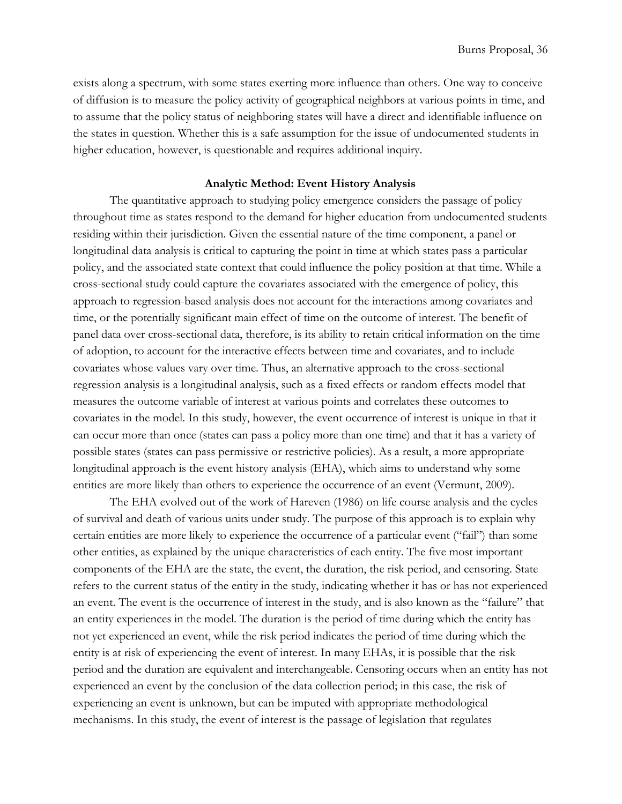exists along a spectrum, with some states exerting more influence than others. One way to conceive of diffusion is to measure the policy activity of geographical neighbors at various points in time, and to assume that the policy status of neighboring states will have a direct and identifiable influence on the states in question. Whether this is a safe assumption for the issue of undocumented students in higher education, however, is questionable and requires additional inquiry.

# **Analytic Method: Event History Analysis**

<span id="page-35-0"></span>The quantitative approach to studying policy emergence considers the passage of policy throughout time as states respond to the demand for higher education from undocumented students residing within their jurisdiction. Given the essential nature of the time component, a panel or longitudinal data analysis is critical to capturing the point in time at which states pass a particular policy, and the associated state context that could influence the policy position at that time. While a cross-sectional study could capture the covariates associated with the emergence of policy, this approach to regression-based analysis does not account for the interactions among covariates and time, or the potentially significant main effect of time on the outcome of interest. The benefit of panel data over cross-sectional data, therefore, is its ability to retain critical information on the time of adoption, to account for the interactive effects between time and covariates, and to include covariates whose values vary over time. Thus, an alternative approach to the cross-sectional regression analysis is a longitudinal analysis, such as a fixed effects or random effects model that measures the outcome variable of interest at various points and correlates these outcomes to covariates in the model. In this study, however, the event occurrence of interest is unique in that it can occur more than once (states can pass a policy more than one time) and that it has a variety of possible states (states can pass permissive or restrictive policies). As a result, a more appropriate longitudinal approach is the event history analysis (EHA), which aims to understand why some entities are more likely than others to experience the occurrence of an event (Vermunt, 2009).

The EHA evolved out of the work of Hareven (1986) on life course analysis and the cycles of survival and death of various units under study. The purpose of this approach is to explain why certain entities are more likely to experience the occurrence of a particular event ("fail") than some other entities, as explained by the unique characteristics of each entity. The five most important components of the EHA are the state, the event, the duration, the risk period, and censoring. State refers to the current status of the entity in the study, indicating whether it has or has not experienced an event. The event is the occurrence of interest in the study, and is also known as the "failure" that an entity experiences in the model. The duration is the period of time during which the entity has not yet experienced an event, while the risk period indicates the period of time during which the entity is at risk of experiencing the event of interest. In many EHAs, it is possible that the risk period and the duration are equivalent and interchangeable. Censoring occurs when an entity has not experienced an event by the conclusion of the data collection period; in this case, the risk of experiencing an event is unknown, but can be imputed with appropriate methodological mechanisms. In this study, the event of interest is the passage of legislation that regulates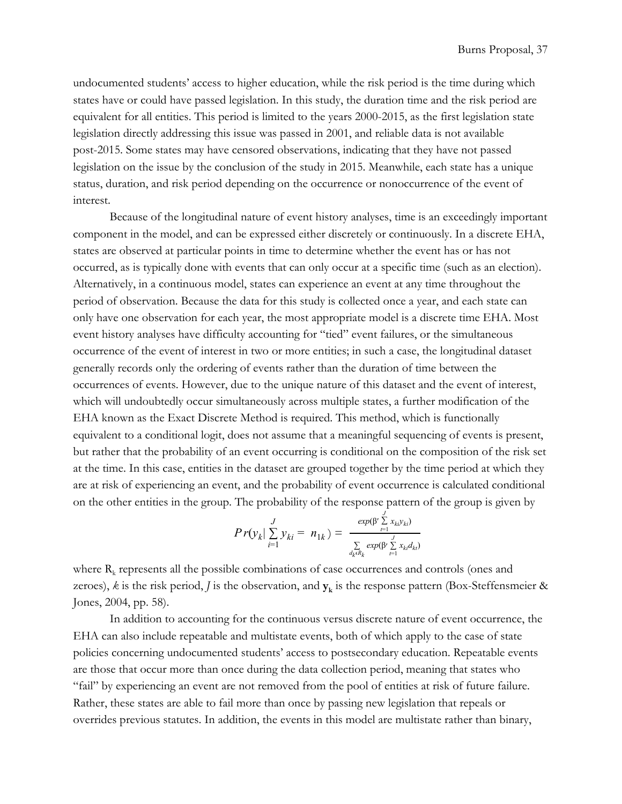undocumented students' access to higher education, while the risk period is the time during which states have or could have passed legislation. In this study, the duration time and the risk period are equivalent for all entities. This period is limited to the years 2000-2015, as the first legislation state legislation directly addressing this issue was passed in 2001, and reliable data is not available post-2015. Some states may have censored observations, indicating that they have not passed legislation on the issue by the conclusion of the study in 2015. Meanwhile, each state has a unique status, duration, and risk period depending on the occurrence or nonoccurrence of the event of interest.

Because of the longitudinal nature of event history analyses, time is an exceedingly important component in the model, and can be expressed either discretely or continuously. In a discrete EHA, states are observed at particular points in time to determine whether the event has or has not occurred, as is typically done with events that can only occur at a specific time (such as an election). Alternatively, in a continuous model, states can experience an event at any time throughout the period of observation. Because the data for this study is collected once a year, and each state can only have one observation for each year, the most appropriate model is a discrete time EHA. Most event history analyses have difficulty accounting for "tied" event failures, or the simultaneous occurrence of the event of interest in two or more entities; in such a case, the longitudinal dataset generally records only the ordering of events rather than the duration of time between the occurrences of events. However, due to the unique nature of this dataset and the event of interest, which will undoubtedly occur simultaneously across multiple states, a further modification of the EHA known as the Exact Discrete Method is required. This method, which is functionally equivalent to a conditional logit, does not assume that a meaningful sequencing of events is present, but rather that the probability of an event occurring is conditional on the composition of the risk set at the time. In this case, entities in the dataset are grouped together by the time period at which they are at risk of experiencing an event, and the probability of event occurrence is calculated conditional on the other entities in the group. The probability of the response pattern of the group is given by

$$
Pr(y_k | \sum_{i=1}^{J} y_{ki} = n_{1k}) = \frac{exp(\beta' \sum_{t=1}^{J} x_{ki} y_{ki})}{\sum_{\substack{d_k d_k \\ d_k d_k}} exp(\beta' \sum_{t=1}^{J} x_{ki} d_{ki})}
$$

where  $R_k$  represents all the possible combinations of case occurrences and controls (ones and zeroes), *k* is the risk period, *J* is the observation, and **y<sup>k</sup>** is the response pattern (Box-Steffensmeier & Jones, 2004, pp. 58).

In addition to accounting for the continuous versus discrete nature of event occurrence, the EHA can also include repeatable and multistate events, both of which apply to the case of state policies concerning undocumented students' access to postsecondary education. Repeatable events are those that occur more than once during the data collection period, meaning that states who "fail" by experiencing an event are not removed from the pool of entities at risk of future failure. Rather, these states are able to fail more than once by passing new legislation that repeals or overrides previous statutes. In addition, the events in this model are multistate rather than binary,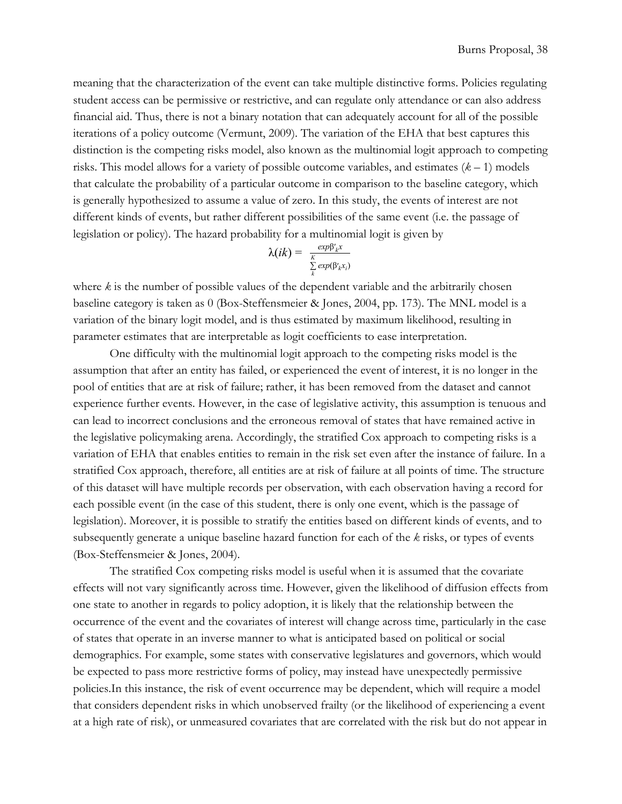meaning that the characterization of the event can take multiple distinctive forms. Policies regulating student access can be permissive or restrictive, and can regulate only attendance or can also address financial aid. Thus, there is not a binary notation that can adequately account for all of the possible iterations of a policy outcome (Vermunt, 2009). The variation of the EHA that best captures this distinction is the competing risks model, also known as the multinomial logit approach to competing risks. This model allows for a variety of possible outcome variables, and estimates (*k* – 1) models that calculate the probability of a particular outcome in comparison to the baseline category, which is generally hypothesized to assume a value of zero. In this study, the events of interest are not different kinds of events, but rather different possibilities of the same event (i.e. the passage of legislation or policy). The hazard probability for a multinomial logit is given by

$$
\lambda(ik) = \frac{\exp \beta'_{k} x}{\sum_{k}^K \exp(\beta'_{k} x_{i})}
$$

where *k* is the number of possible values of the dependent variable and the arbitrarily chosen baseline category is taken as 0 (Box-Steffensmeier & Jones, 2004, pp. 173). The MNL model is a variation of the binary logit model, and is thus estimated by maximum likelihood, resulting in parameter estimates that are interpretable as logit coefficients to ease interpretation.

One difficulty with the multinomial logit approach to the competing risks model is the assumption that after an entity has failed, or experienced the event of interest, it is no longer in the pool of entities that are at risk of failure; rather, it has been removed from the dataset and cannot experience further events. However, in the case of legislative activity, this assumption is tenuous and can lead to incorrect conclusions and the erroneous removal of states that have remained active in the legislative policymaking arena. Accordingly, the stratified Cox approach to competing risks is a variation of EHA that enables entities to remain in the risk set even after the instance of failure. In a stratified Cox approach, therefore, all entities are at risk of failure at all points of time. The structure of this dataset will have multiple records per observation, with each observation having a record for each possible event (in the case of this student, there is only one event, which is the passage of legislation). Moreover, it is possible to stratify the entities based on different kinds of events, and to subsequently generate a unique baseline hazard function for each of the *k* risks, or types of events (Box-Steffensmeier & Jones, 2004).

The stratified Cox competing risks model is useful when it is assumed that the covariate effects will not vary significantly across time. However, given the likelihood of diffusion effects from one state to another in regards to policy adoption, it is likely that the relationship between the occurrence of the event and the covariates of interest will change across time, particularly in the case of states that operate in an inverse manner to what is anticipated based on political or social demographics. For example, some states with conservative legislatures and governors, which would be expected to pass more restrictive forms of policy, may instead have unexpectedly permissive policies.In this instance, the risk of event occurrence may be dependent, which will require a model that considers dependent risks in which unobserved frailty (or the likelihood of experiencing a event at a high rate of risk), or unmeasured covariates that are correlated with the risk but do not appear in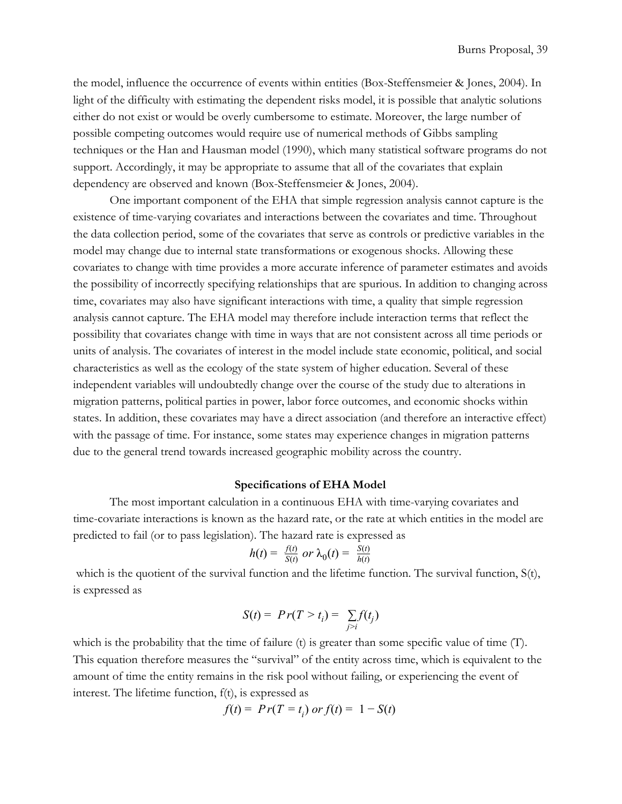the model, influence the occurrence of events within entities (Box-Steffensmeier & Jones, 2004). In light of the difficulty with estimating the dependent risks model, it is possible that analytic solutions either do not exist or would be overly cumbersome to estimate. Moreover, the large number of possible competing outcomes would require use of numerical methods of Gibbs sampling techniques or the Han and Hausman model (1990), which many statistical software programs do not support. Accordingly, it may be appropriate to assume that all of the covariates that explain dependency are observed and known (Box-Steffensmeier & Jones, 2004).

One important component of the EHA that simple regression analysis cannot capture is the existence of time-varying covariates and interactions between the covariates and time. Throughout the data collection period, some of the covariates that serve as controls or predictive variables in the model may change due to internal state transformations or exogenous shocks. Allowing these covariates to change with time provides a more accurate inference of parameter estimates and avoids the possibility of incorrectly specifying relationships that are spurious. In addition to changing across time, covariates may also have significant interactions with time, a quality that simple regression analysis cannot capture. The EHA model may therefore include interaction terms that reflect the possibility that covariates change with time in ways that are not consistent across all time periods or units of analysis. The covariates of interest in the model include state economic, political, and social characteristics as well as the ecology of the state system of higher education. Several of these independent variables will undoubtedly change over the course of the study due to alterations in migration patterns, political parties in power, labor force outcomes, and economic shocks within states. In addition, these covariates may have a direct association (and therefore an interactive effect) with the passage of time. For instance, some states may experience changes in migration patterns due to the general trend towards increased geographic mobility across the country.

## **Specifications of EHA Model**

<span id="page-38-0"></span>The most important calculation in a continuous EHA with time-varying covariates and time-covariate interactions is known as the hazard rate, or the rate at which entities in the model are predicted to fail (or to pass legislation). The hazard rate is expressed as

$$
h(t) = \frac{f(t)}{S(t)} \text{ or } \lambda_0(t) = \frac{S(t)}{h(t)}
$$

which is the quotient of the survival function and the lifetime function. The survival function,  $S(t)$ , is expressed as

$$
S(t) = Pr(T > t_i) = \sum_{j>i} f(t_j)
$$

which is the probability that the time of failure (t) is greater than some specific value of time (T). This equation therefore measures the "survival" of the entity across time, which is equivalent to the amount of time the entity remains in the risk pool without failing, or experiencing the event of interest. The lifetime function, f(t), is expressed as

$$
f(t) = Pr(T = ti) or f(t) = 1 - S(t)
$$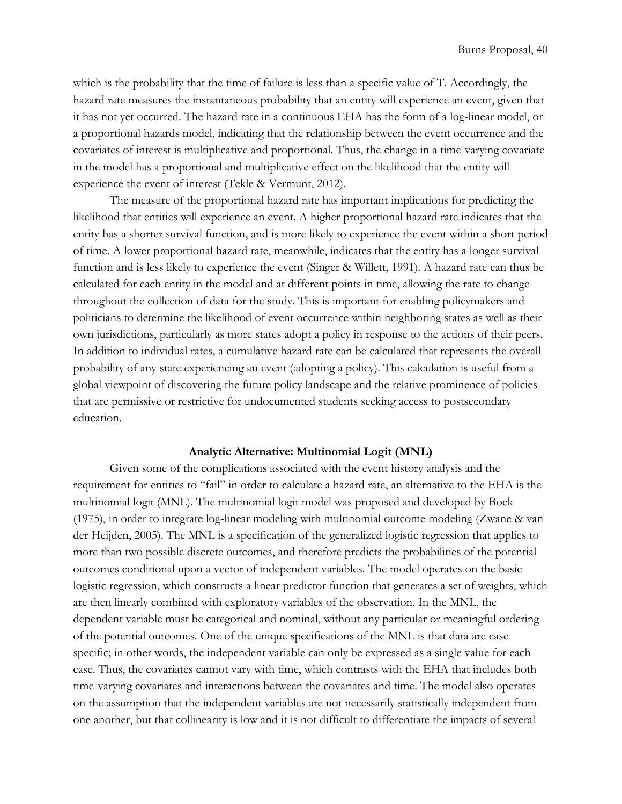which is the probability that the time of failure is less than a specific value of T. Accordingly, the hazard rate measures the instantaneous probability that an entity will experience an event, given that it has not yet occurred. The hazard rate in a continuous EHA has the form of a log-linear model, or a proportional hazards model, indicating that the relationship between the event occurrence and the covariates of interest is multiplicative and proportional. Thus, the change in a time-varying covariate in the model has a proportional and multiplicative effect on the likelihood that the entity will experience the event of interest (Tekle & Vermunt, 2012).

The measure of the proportional hazard rate has important implications for predicting the likelihood that entities will experience an event. A higher proportional hazard rate indicates that the entity has a shorter survival function, and is more likely to experience the event within a short period of time. A lower proportional hazard rate, meanwhile, indicates that the entity has a longer survival function and is less likely to experience the event (Singer & Willett, 1991). A hazard rate can thus be calculated for each entity in the model and at different points in time, allowing the rate to change throughout the collection of data for the study. This is important for enabling policymakers and politicians to determine the likelihood of event occurrence within neighboring states as well as their own jurisdictions, particularly as more states adopt a policy in response to the actions of their peers. In addition to individual rates, a cumulative hazard rate can be calculated that represents the overall probability of any state experiencing an event (adopting a policy). This calculation is useful from a global viewpoint of discovering the future policy landscape and the relative prominence of policies that are permissive or restrictive for undocumented students seeking access to postsecondary education.

# **Analytic Alternative: Multinomial Logit (MNL)**

Given some of the complications associated with the event history analysis and the requirement for entities to "fail" in order to calculate a hazard rate, an alternative to the EHA is the multinomial logit (MNL). The multinomial logit model was proposed and developed by Bock (1975), in order to integrate log-linear modeling with multinomial outcome modeling (Zwane & van der Heijden, 2005). The MNL is a specification of the generalized logistic regression that applies to more than two possible discrete outcomes, and therefore predicts the probabilities of the potential outcomes conditional upon a vector of independent variables. The model operates on the basic logistic regression, which constructs a linear predictor function that generates a set of weights, which are then linearly combined with exploratory variables of the observation. In the MNL, the dependent variable must be categorical and nominal, without any particular or meaningful ordering of the potential outcomes. One of the unique specifications of the MNL is that data are case specific; in other words, the independent variable can only be expressed as a single value for each case. Thus, the covariates cannot vary with time, which contrasts with the EHA that includes both time-varying covariates and interactions between the covariates and time. The model also operates on the assumption that the independent variables are not necessarily statistically independent from one another, but that collinearity is low and it is not difficult to differentiate the impacts of several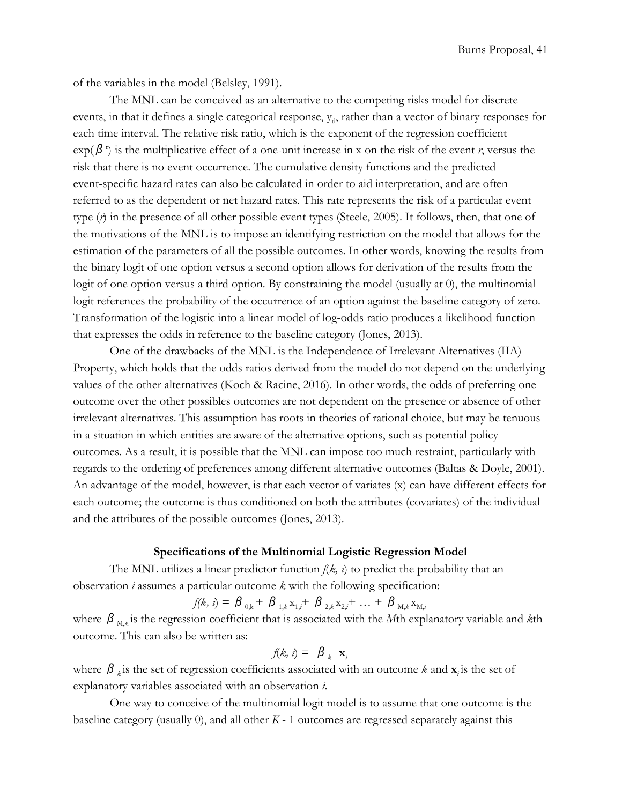Burns Proposal, 41

of the variables in the model (Belsley, 1991).

The MNL can be conceived as an alternative to the competing risks model for discrete events, in that it defines a single categorical response,  $y_{ti}$ , rather than a vector of binary responses for each time interval. The relative risk ratio, which is the exponent of the regression coefficient  $\exp(\beta^r)$  is the multiplicative effect of a one-unit increase in x on the risk of the event *r*, versus the risk that there is no event occurrence. The cumulative density functions and the predicted event-specific hazard rates can also be calculated in order to aid interpretation, and are often referred to as the dependent or net hazard rates. This rate represents the risk of a particular event type (*r*) in the presence of all other possible event types (Steele, 2005). It follows, then, that one of the motivations of the MNL is to impose an identifying restriction on the model that allows for the estimation of the parameters of all the possible outcomes. In other words, knowing the results from the binary logit of one option versus a second option allows for derivation of the results from the logit of one option versus a third option. By constraining the model (usually at 0), the multinomial logit references the probability of the occurrence of an option against the baseline category of zero. Transformation of the logistic into a linear model of log-odds ratio produces a likelihood function that expresses the odds in reference to the baseline category (Jones, 2013).

One of the drawbacks of the MNL is the Independence of Irrelevant Alternatives (IIA) Property, which holds that the odds ratios derived from the model do not depend on the underlying values of the other alternatives (Koch & Racine, 2016). In other words, the odds of preferring one outcome over the other possibles outcomes are not dependent on the presence or absence of other irrelevant alternatives. This assumption has roots in theories of rational choice, but may be tenuous in a situation in which entities are aware of the alternative options, such as potential policy outcomes. As a result, it is possible that the MNL can impose too much restraint, particularly with regards to the ordering of preferences among different alternative outcomes (Baltas & Doyle, 2001). An advantage of the model, however, is that each vector of variates (x) can have different effects for each outcome; the outcome is thus conditioned on both the attributes (covariates) of the individual and the attributes of the possible outcomes (Jones, 2013).

# **Specifications of the Multinomial Logistic Regression Model**

The MNL utilizes a linear predictor function *f*(*k, i*) to predict the probability that an observation *i* assumes a particular outcome *k* with the following specification:

$$
f(k, i) = \beta_{0,k} + \beta_{1,k} x_{1,i} + \beta_{2,k} x_{2,i} + \ldots + \beta_{M,k} x_{M,i}
$$

where  $β$ <sub>M,k</sub> is the regression coefficient that is associated with the *M*th explanatory variable and *k*th outcome. This can also be written as:

$$
f(k, i) = \beta_k \mathbf{x}_i
$$

where  $\beta$ <sub>k</sub> is the set of regression coefficients associated with an outcome k and  $\mathbf{x}_i$  is the set of explanatory variables associated with an observation *i*.

One way to conceive of the multinomial logit model is to assume that one outcome is the baseline category (usually  $0$ ), and all other  $K - 1$  outcomes are regressed separately against this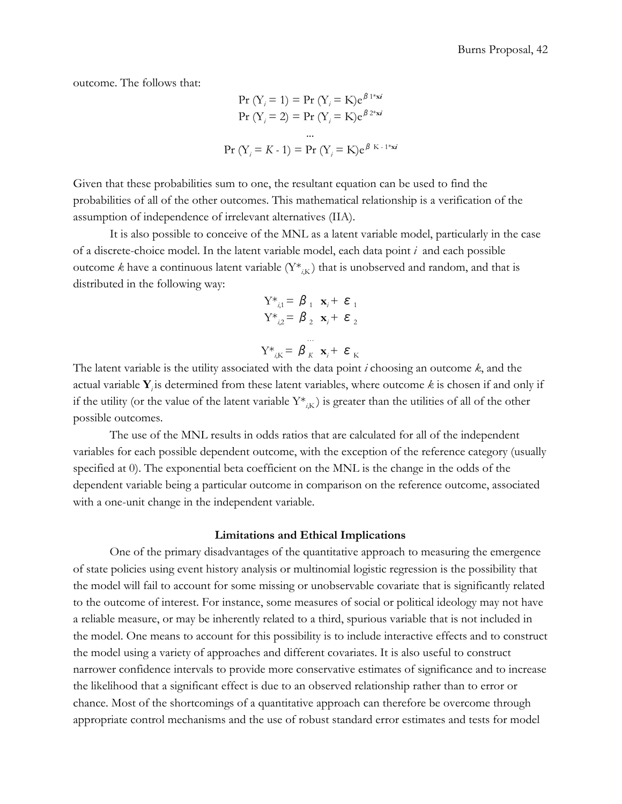outcome. The follows that:

$$
\Pr(Y_i = 1) = \Pr(Y_i = K) e^{\beta 1 * x i}
$$
\n
$$
\Pr(Y_i = 2) = \Pr(Y_i = K) e^{\beta 2 * x i}
$$
\n
$$
\dots
$$
\n
$$
\Pr(Y_i = K - 1) = \Pr(Y_i = K) e^{\beta K - 1 * x i}
$$

Given that these probabilities sum to one, the resultant equation can be used to find the probabilities of all of the other outcomes. This mathematical relationship is a verification of the assumption of independence of irrelevant alternatives (IIA).

It is also possible to conceive of the MNL as a latent variable model, particularly in the case of a discrete-choice model. In the latent variable model, each data point *i*  and each possible outcome k have a continuous latent variable  $(Y^*_{i,K})$  that is unobserved and random, and that is distributed in the following way:

$$
Y^*_{i,1} = \beta_1 \mathbf{x}_i + \varepsilon_1
$$
  
\n
$$
Y^*_{i,2} = \beta_2 \mathbf{x}_i + \varepsilon_2
$$
  
\n
$$
Y^*_{i,K} = \beta_K \mathbf{x}_i + \varepsilon_K
$$

The latent variable is the utility associated with the data point *i* choosing an outcome *k*, and the actual variable  $\mathbf{Y}_i$  is determined from these latent variables, where outcome  $k$  is chosen if and only if if the utility (or the value of the latent variable  $Y^*_{i,K}$ ) is greater than the utilities of all of the other possible outcomes.

The use of the MNL results in odds ratios that are calculated for all of the independent variables for each possible dependent outcome, with the exception of the reference category (usually specified at 0). The exponential beta coefficient on the MNL is the change in the odds of the dependent variable being a particular outcome in comparison on the reference outcome, associated with a one-unit change in the independent variable.

#### **Limitations and Ethical Implications**

<span id="page-41-0"></span>One of the primary disadvantages of the quantitative approach to measuring the emergence of state policies using event history analysis or multinomial logistic regression is the possibility that the model will fail to account for some missing or unobservable covariate that is significantly related to the outcome of interest. For instance, some measures of social or political ideology may not have a reliable measure, or may be inherently related to a third, spurious variable that is not included in the model. One means to account for this possibility is to include interactive effects and to construct the model using a variety of approaches and different covariates. It is also useful to construct narrower confidence intervals to provide more conservative estimates of significance and to increase the likelihood that a significant effect is due to an observed relationship rather than to error or chance. Most of the shortcomings of a quantitative approach can therefore be overcome through appropriate control mechanisms and the use of robust standard error estimates and tests for model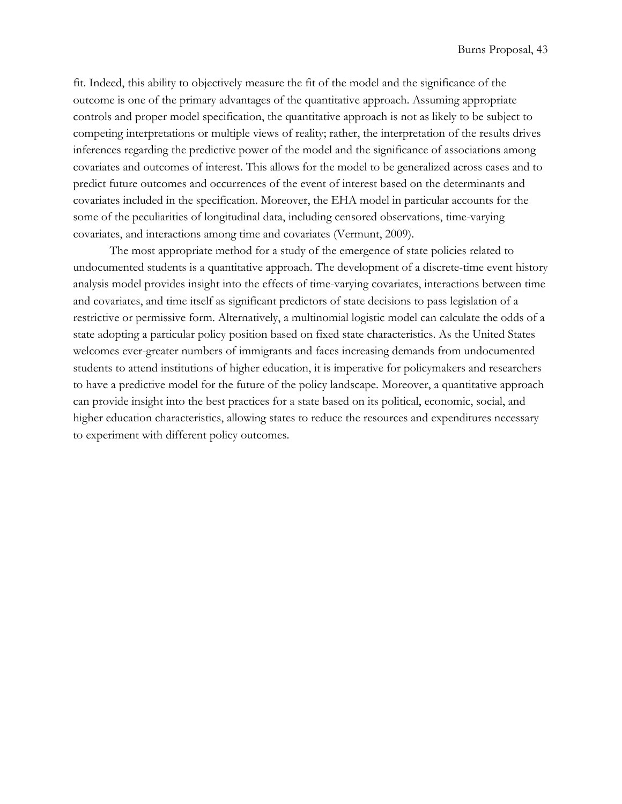fit. Indeed, this ability to objectively measure the fit of the model and the significance of the outcome is one of the primary advantages of the quantitative approach. Assuming appropriate controls and proper model specification, the quantitative approach is not as likely to be subject to competing interpretations or multiple views of reality; rather, the interpretation of the results drives inferences regarding the predictive power of the model and the significance of associations among covariates and outcomes of interest. This allows for the model to be generalized across cases and to predict future outcomes and occurrences of the event of interest based on the determinants and covariates included in the specification. Moreover, the EHA model in particular accounts for the some of the peculiarities of longitudinal data, including censored observations, time-varying covariates, and interactions among time and covariates (Vermunt, 2009).

The most appropriate method for a study of the emergence of state policies related to undocumented students is a quantitative approach. The development of a discrete-time event history analysis model provides insight into the effects of time-varying covariates, interactions between time and covariates, and time itself as significant predictors of state decisions to pass legislation of a restrictive or permissive form. Alternatively, a multinomial logistic model can calculate the odds of a state adopting a particular policy position based on fixed state characteristics. As the United States welcomes ever-greater numbers of immigrants and faces increasing demands from undocumented students to attend institutions of higher education, it is imperative for policymakers and researchers to have a predictive model for the future of the policy landscape. Moreover, a quantitative approach can provide insight into the best practices for a state based on its political, economic, social, and higher education characteristics, allowing states to reduce the resources and expenditures necessary to experiment with different policy outcomes.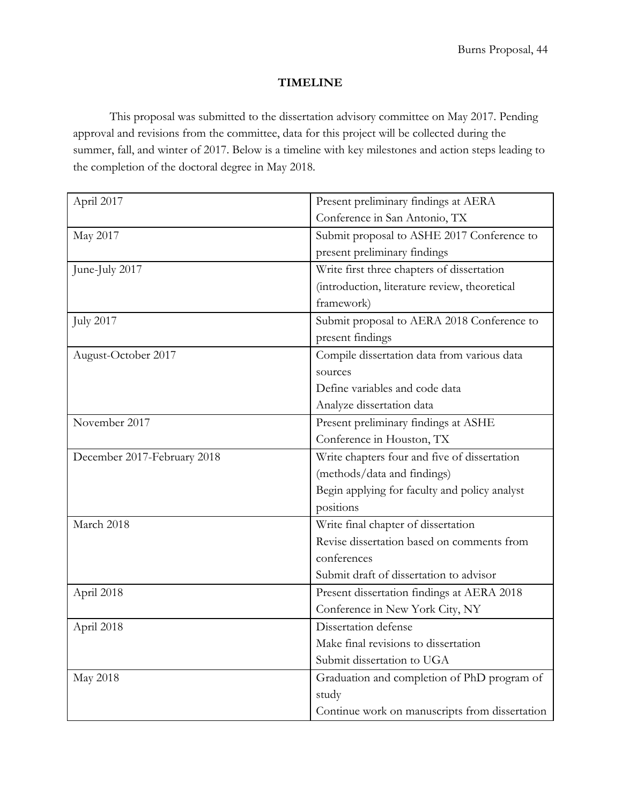# **TIMELINE**

<span id="page-43-0"></span>This proposal was submitted to the dissertation advisory committee on May 2017. Pending approval and revisions from the committee, data for this project will be collected during the summer, fall, and winter of 2017. Below is a timeline with key milestones and action steps leading to the completion of the doctoral degree in May 2018.

| April 2017                  | Present preliminary findings at AERA           |  |
|-----------------------------|------------------------------------------------|--|
|                             | Conference in San Antonio, TX                  |  |
| May 2017                    | Submit proposal to ASHE 2017 Conference to     |  |
|                             | present preliminary findings                   |  |
| June-July 2017              | Write first three chapters of dissertation     |  |
|                             | (introduction, literature review, theoretical  |  |
|                             | framework)                                     |  |
| <b>July 2017</b>            | Submit proposal to AERA 2018 Conference to     |  |
|                             | present findings                               |  |
| August-October 2017         | Compile dissertation data from various data    |  |
|                             | sources                                        |  |
|                             | Define variables and code data                 |  |
|                             | Analyze dissertation data                      |  |
| November 2017               | Present preliminary findings at ASHE           |  |
|                             | Conference in Houston, TX                      |  |
| December 2017-February 2018 | Write chapters four and five of dissertation   |  |
|                             | (methods/data and findings)                    |  |
|                             | Begin applying for faculty and policy analyst  |  |
|                             | positions                                      |  |
| March 2018                  | Write final chapter of dissertation            |  |
|                             | Revise dissertation based on comments from     |  |
|                             | conferences                                    |  |
|                             | Submit draft of dissertation to advisor        |  |
| April 2018                  | Present dissertation findings at AERA 2018     |  |
|                             | Conference in New York City, NY                |  |
| April 2018                  | Dissertation defense                           |  |
|                             | Make final revisions to dissertation           |  |
|                             | Submit dissertation to UGA                     |  |
| May 2018                    | Graduation and completion of PhD program of    |  |
|                             | study                                          |  |
|                             | Continue work on manuscripts from dissertation |  |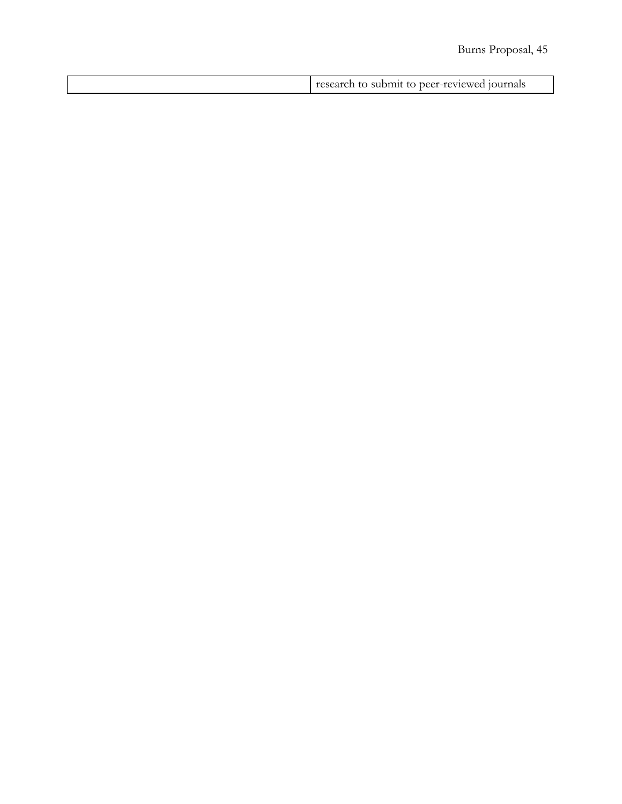# Burns Proposal, 45

| -SUDIDI TO DEEL-TEVIE<br>наім<br>. |  |
|------------------------------------|--|
|                                    |  |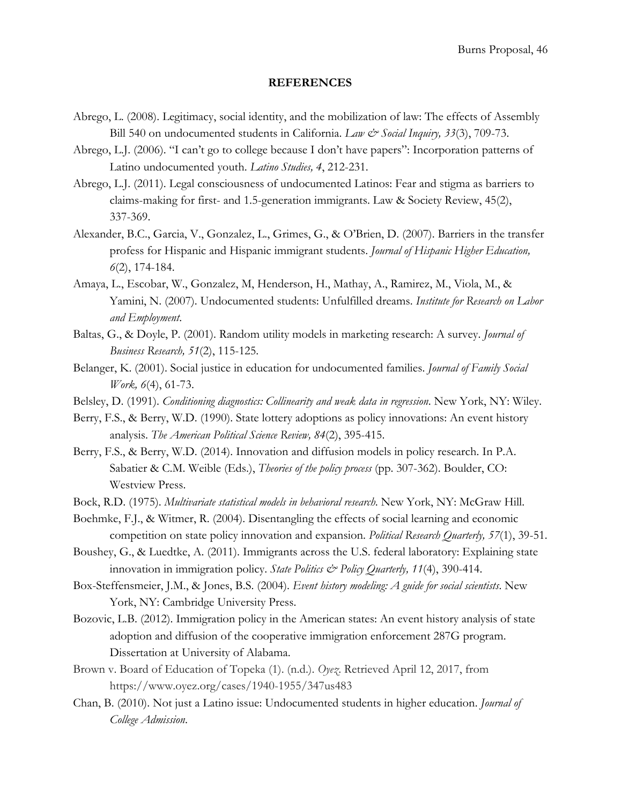# **REFERENCES**

- <span id="page-45-0"></span>Abrego, L. (2008). Legitimacy, social identity, and the mobilization of law: The effects of Assembly Bill 540 on undocumented students in California. *Law & Social Inquiry, 33*(3), 709-73.
- Abrego, L.J. (2006). "I can't go to college because I don't have papers": Incorporation patterns of Latino undocumented youth. *Latino Studies, 4*, 212-231.
- Abrego, L.J. (2011). Legal consciousness of undocumented Latinos: Fear and stigma as barriers to claims-making for first- and 1.5-generation immigrants. Law & Society Review, 45(2), 337-369.
- Alexander, B.C., Garcia, V., Gonzalez, L., Grimes, G., & O'Brien, D. (2007). Barriers in the transfer profess for Hispanic and Hispanic immigrant students. *Journal of Hispanic Higher Education, 6*(2), 174-184.
- Amaya, L., Escobar, W., Gonzalez, M, Henderson, H., Mathay, A., Ramirez, M., Viola, M., & Yamini, N. (2007). Undocumented students: Unfulfilled dreams. *Institute for Research on Labor and Employment*.
- Baltas, G., & Doyle, P. (2001). Random utility models in marketing research: A survey. *Journal of Business Research, 51*(2), 115-125.
- Belanger, K. (2001). Social justice in education for undocumented families. *Journal of Family Social Work, 6*(4), 61-73.
- Belsley, D. (1991). *Conditioning diagnostics: Collinearity and weak data in regression*. New York, NY: Wiley.
- Berry, F.S., & Berry, W.D. (1990). State lottery adoptions as policy innovations: An event history analysis. *The American Political Science Review, 84*(2), 395-415.
- Berry, F.S., & Berry, W.D. (2014). Innovation and diffusion models in policy research. In P.A. Sabatier & C.M. Weible (Eds.), *Theories of the policy process* (pp. 307-362). Boulder, CO: Westview Press.
- Bock, R.D. (1975). *Multivariate statistical models in behavioral research*. New York, NY: McGraw Hill.
- Boehmke, F.J., & Witmer, R. (2004). Disentangling the effects of social learning and economic competition on state policy innovation and expansion. *Political Research Quarterly, 57*(1), 39-51.
- Boushey, G., & Luedtke, A. (2011). Immigrants across the U.S. federal laboratory: Explaining state innovation in immigration policy. *State Politics & Policy Quarterly, 11*(4), 390-414.
- Box-Steffensmeier, J.M., & Jones, B.S. (2004). *Event history modeling: A guide for social scientists*. New York, NY: Cambridge University Press.
- Bozovic, L.B. (2012). Immigration policy in the American states: An event history analysis of state adoption and diffusion of the cooperative immigration enforcement 287G program. Dissertation at University of Alabama.
- Brown v. Board of Education of Topeka (1). (n.d.). *Oyez*. Retrieved April 12, 2017, from https://www.oyez.org/cases/1940-1955/347us483
- Chan, B. (2010). Not just a Latino issue: Undocumented students in higher education. *Journal of College Admission*.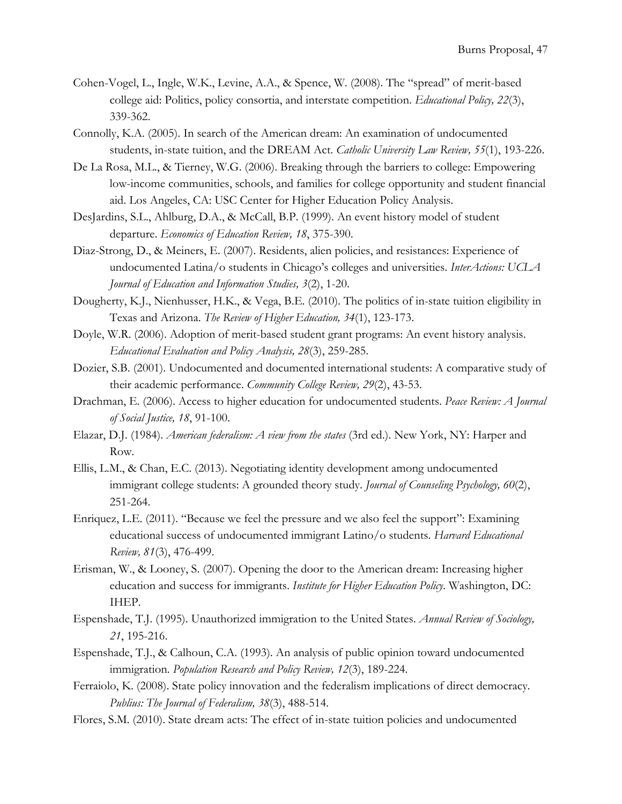- Cohen-Vogel, L., Ingle, W.K., Levine, A.A., & Spence, W. (2008). The "spread" of merit-based college aid: Politics, policy consortia, and interstate competition. *Educational Policy, 22*(3), 339-362.
- Connolly, K.A. (2005). In search of the American dream: An examination of undocumented students, in-state tuition, and the DREAM Act. *Catholic University Law Review, 55*(1), 193-226.
- De La Rosa, M.L., & Tierney, W.G. (2006). Breaking through the barriers to college: Empowering low-income communities, schools, and families for college opportunity and student financial aid. Los Angeles, CA: USC Center for Higher Education Policy Analysis.
- DesJardins, S.L., Ahlburg, D.A., & McCall, B.P. (1999). An event history model of student departure. *Economics of Education Review, 18*, 375-390.
- Diaz-Strong, D., & Meiners, E. (2007). Residents, alien policies, and resistances: Experience of undocumented Latina/o students in Chicago's colleges and universities. *InterActions: UCLA Journal of Education and Information Studies, 3*(2), 1-20.
- Dougherty, K.J., Nienhusser, H.K., & Vega, B.E. (2010). The politics of in-state tuition eligibility in Texas and Arizona. *The Review of Higher Education, 34*(1), 123-173.
- Doyle, W.R. (2006). Adoption of merit-based student grant programs: An event history analysis. *Educational Evaluation and Policy Analysis, 28*(3), 259-285.
- Dozier, S.B. (2001). Undocumented and documented international students: A comparative study of their academic performance. *Community College Review, 29*(2), 43-53.
- Drachman, E. (2006). Access to higher education for undocumented students. *Peace Review: A Journal of Social Justice, 18*, 91-100.
- Elazar, D.J. (1984). *American federalism: A view from the states* (3rd ed.). New York, NY: Harper and Row.
- Ellis, L.M., & Chan, E.C. (2013). Negotiating identity development among undocumented immigrant college students: A grounded theory study. *Journal of Counseling Psychology, 60*(2), 251-264.
- Enriquez, L.E. (2011). "Because we feel the pressure and we also feel the support": Examining educational success of undocumented immigrant Latino/o students. *Harvard Educational Review, 81*(3), 476-499.
- Erisman, W., & Looney, S. (2007). Opening the door to the American dream: Increasing higher education and success for immigrants. *Institute for Higher Education Policy*. Washington, DC: IHEP.
- Espenshade, T.J. (1995). Unauthorized immigration to the United States. *Annual Review of Sociology, 21*, 195-216.
- Espenshade, T.J., & Calhoun, C.A. (1993). An analysis of public opinion toward undocumented immigration*. Population Research and Policy Review, 12*(3), 189-224.
- Ferraiolo, K. (2008). State policy innovation and the federalism implications of direct democracy. *Publius: The Journal of Federalism, 38*(3), 488-514.
- Flores, S.M. (2010). State dream acts: The effect of in-state tuition policies and undocumented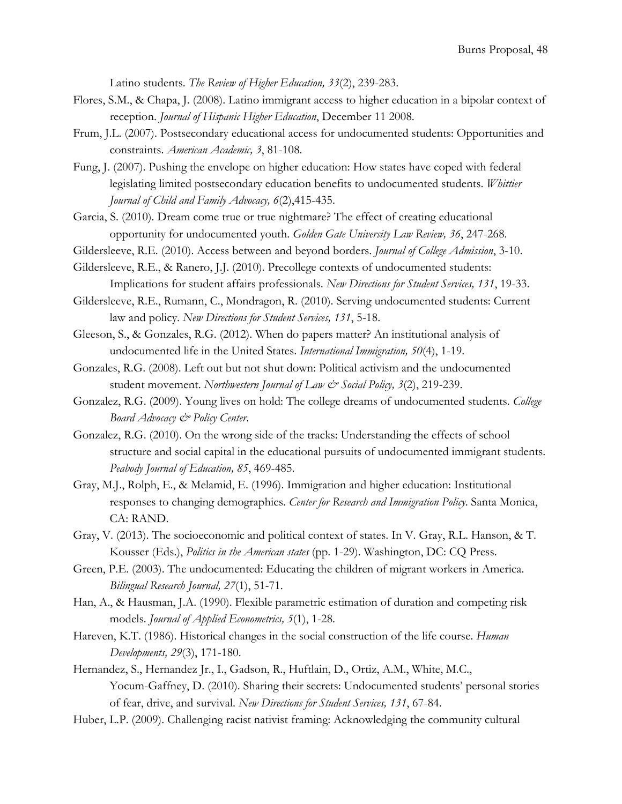Latino students. *The Review of Higher Education, 33*(2), 239-283.

- Flores, S.M., & Chapa, J. (2008). Latino immigrant access to higher education in a bipolar context of reception. *Journal of Hispanic Higher Education*, December 11 2008.
- Frum, J.L. (2007). Postsecondary educational access for undocumented students: Opportunities and constraints. *American Academic, 3*, 81-108.
- Fung, J. (2007). Pushing the envelope on higher education: How states have coped with federal legislating limited postsecondary education benefits to undocumented students. *Whittier Journal of Child and Family Advocacy, 6*(2),415-435.
- Garcia, S. (2010). Dream come true or true nightmare? The effect of creating educational opportunity for undocumented youth. *Golden Gate University Law Review, 36*, 247-268.
- Gildersleeve, R.E. (2010). Access between and beyond borders. *Journal of College Admission*, 3-10.
- Gildersleeve, R.E., & Ranero, J.J. (2010). Precollege contexts of undocumented students: Implications for student affairs professionals. *New Directions for Student Services, 131*, 19-33.
- Gildersleeve, R.E., Rumann, C., Mondragon, R. (2010). Serving undocumented students: Current law and policy. *New Directions for Student Services, 131*, 5-18.
- Gleeson, S., & Gonzales, R.G. (2012). When do papers matter? An institutional analysis of undocumented life in the United States. *International Immigration, 50*(4), 1-19.
- Gonzales, R.G. (2008). Left out but not shut down: Political activism and the undocumented student movement. *Northwestern Journal of Law & Social Policy, 3*(2), 219-239.
- Gonzalez, R.G. (2009). Young lives on hold: The college dreams of undocumented students. *College Board Advocacy & Policy Center*.
- Gonzalez, R.G. (2010). On the wrong side of the tracks: Understanding the effects of school structure and social capital in the educational pursuits of undocumented immigrant students. *Peabody Journal of Education, 85*, 469-485.
- Gray, M.J., Rolph, E., & Melamid, E. (1996). Immigration and higher education: Institutional responses to changing demographics. *Center for Research and Immigration Policy*. Santa Monica, CA: RAND.
- Gray, V. (2013). The socioeconomic and political context of states. In V. Gray, R.L. Hanson, & T. Kousser (Eds.), *Politics in the American states* (pp. 1-29). Washington, DC: CQ Press.
- Green, P.E. (2003). The undocumented: Educating the children of migrant workers in America. *Bilingual Research Journal, 27*(1), 51-71.
- Han, A., & Hausman, J.A. (1990). Flexible parametric estimation of duration and competing risk models. *Journal of Applied Econometrics, 5*(1), 1-28.
- Hareven, K.T. (1986). Historical changes in the social construction of the life course. *Human Developments, 29*(3), 171-180.
- Hernandez, S., Hernandez Jr., I., Gadson, R., Huftlain, D., Ortiz, A.M., White, M.C., Yocum-Gaffney, D. (2010). Sharing their secrets: Undocumented students' personal stories of fear, drive, and survival. *New Directions for Student Services, 131*, 67-84.
- Huber, L.P. (2009). Challenging racist nativist framing: Acknowledging the community cultural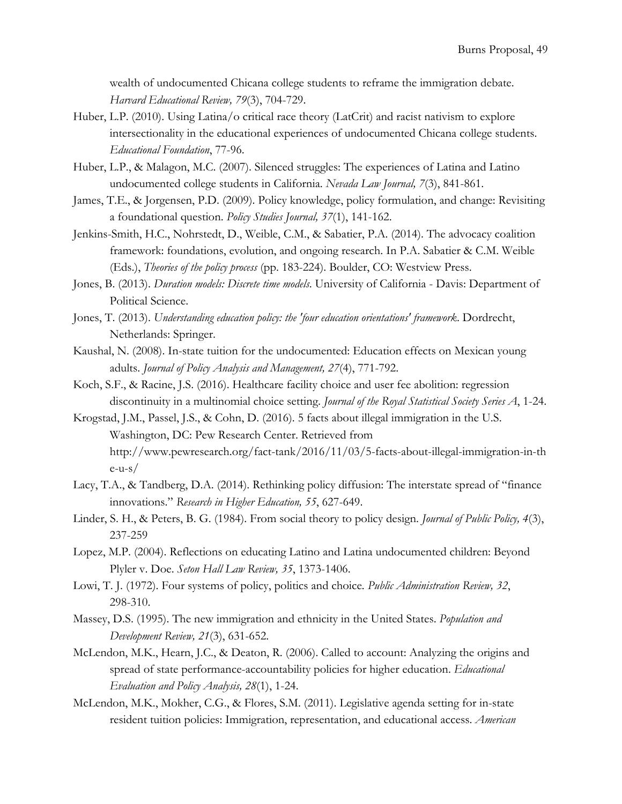wealth of undocumented Chicana college students to reframe the immigration debate. *Harvard Educational Review, 79*(3), 704-729.

- Huber, L.P. (2010). Using Latina/o critical race theory (LatCrit) and racist nativism to explore intersectionality in the educational experiences of undocumented Chicana college students. *Educational Foundation*, 77-96.
- Huber, L.P., & Malagon, M.C. (2007). Silenced struggles: The experiences of Latina and Latino undocumented college students in California. *Nevada Law Journal, 7*(3), 841-861.
- James, T.E., & Jorgensen, P.D. (2009). Policy knowledge, policy formulation, and change: Revisiting a foundational question. *Policy Studies Journal, 37*(1), 141-162.
- Jenkins-Smith, H.C., Nohrstedt, D., Weible, C.M., & Sabatier, P.A. (2014). The advocacy coalition framework: foundations, evolution, and ongoing research. In P.A. Sabatier & C.M. Weible (Eds.), *Theories of the policy process* (pp. 183-224). Boulder, CO: Westview Press.
- Jones, B. (2013). *Duration models: Discrete time models*. University of California Davis: Department of Political Science.
- Jones, T. (2013). *Understanding education policy: the 'four education orientations' framework*. Dordrecht, Netherlands: Springer.
- Kaushal, N. (2008). In-state tuition for the undocumented: Education effects on Mexican young adults. *Journal of Policy Analysis and Management, 27*(4), 771-792.
- Koch, S.F., & Racine, J.S. (2016). Healthcare facility choice and user fee abolition: regression discontinuity in a multinomial choice setting. *Journal of the Royal Statistical Society Series A*, 1-24.
- Krogstad, J.M., Passel, J.S., & Cohn, D. (2016). 5 facts about illegal immigration in the U.S. Washington, DC: Pew Research Center. Retrieved from http://www.pewresearch.org/fact-tank/2016/11/03/5-facts-about-illegal-immigration-in-th e-u-s/
- Lacy, T.A., & Tandberg, D.A. (2014). Rethinking policy diffusion: The interstate spread of "finance innovations." *Research in Higher Education, 55*, 627-649.
- Linder, S. H., & Peters, B. G. (1984). From social theory to policy design. *Journal of Public Policy, 4*(3), 237-259
- Lopez, M.P. (2004). Reflections on educating Latino and Latina undocumented children: Beyond Plyler v. Doe. *Seton Hall Law Review, 35*, 1373-1406.
- Lowi, T. J. (1972). Four systems of policy, politics and choice*. Public Administration Review, 32*, 298-310.
- Massey, D.S. (1995). The new immigration and ethnicity in the United States. *Population and Development Review, 21*(3), 631-652.
- McLendon, M.K., Hearn, J.C., & Deaton, R. (2006). Called to account: Analyzing the origins and spread of state performance-accountability policies for higher education. *Educational Evaluation and Policy Analysis, 28*(1), 1-24.
- McLendon, M.K., Mokher, C.G., & Flores, S.M. (2011). Legislative agenda setting for in-state resident tuition policies: Immigration, representation, and educational access. *American*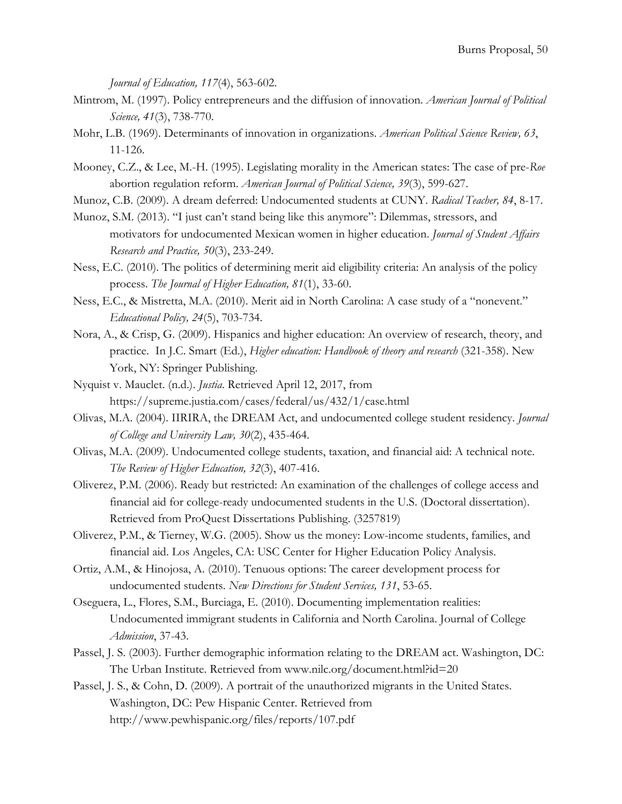*Journal of Education, 117*(4), 563-602.

- Mintrom, M. (1997). Policy entrepreneurs and the diffusion of innovation. *American Journal of Political Science, 41*(3), 738-770.
- Mohr, L.B. (1969). Determinants of innovation in organizations. *American Political Science Review, 63*, 11-126.
- Mooney, C.Z., & Lee, M.-H. (1995). Legislating morality in the American states: The case of pre-*Roe* abortion regulation reform. *American Journal of Political Science, 39*(3), 599-627.
- Munoz, C.B. (2009). A dream deferred: Undocumented students at CUNY. *Radical Teacher, 84*, 8-17.
- Munoz, S.M. (2013). "I just can't stand being like this anymore": Dilemmas, stressors, and motivators for undocumented Mexican women in higher education. *Journal of Student Affairs Research and Practice, 50*(3), 233-249.
- Ness, E.C. (2010). The politics of determining merit aid eligibility criteria: An analysis of the policy process. *The Journal of Higher Education, 81*(1), 33-60.
- Ness, E.C., & Mistretta, M.A. (2010). Merit aid in North Carolina: A case study of a "nonevent." *Educational Policy, 24*(5), 703-734.
- Nora, A., & Crisp, G. (2009). Hispanics and higher education: An overview of research, theory, and practice. In J.C. Smart (Ed.), *Higher education: Handbook of theory and research* (321-358). New York, NY: Springer Publishing.
- Nyquist v. Mauclet. (n.d.). *Justia*. Retrieved April 12, 2017, from https://supreme.justia.com/cases/federal/us/432/1/case.html
- Olivas, M.A. (2004). IIRIRA, the DREAM Act, and undocumented college student residency. *Journal of College and University Law, 30*(2), 435-464.
- Olivas, M.A. (2009). Undocumented college students, taxation, and financial aid: A technical note. *The Review of Higher Education, 32*(3), 407-416.
- Oliverez, P.M. (2006). Ready but restricted: An examination of the challenges of college access and financial aid for college-ready undocumented students in the U.S. (Doctoral dissertation). Retrieved from ProQuest Dissertations Publishing. (3257819)
- Oliverez, P.M., & Tierney, W.G. (2005). Show us the money: Low-income students, families, and financial aid. Los Angeles, CA: USC Center for Higher Education Policy Analysis.
- Ortiz, A.M., & Hinojosa, A. (2010). Tenuous options: The career development process for undocumented students. *New Directions for Student Services, 131*, 53-65.
- Oseguera, L., Flores, S.M., Burciaga, E. (2010). Documenting implementation realities: Undocumented immigrant students in California and North Carolina. Journal of College *Admission*, 37-43.
- Passel, J. S. (2003). Further demographic information relating to the DREAM act. Washington, DC: The Urban Institute. Retrieved from www.nilc.org/document.html?id=20
- Passel, J. S., & Cohn, D. (2009). A portrait of the unauthorized migrants in the United States. Washington, DC: Pew Hispanic Center. Retrieved from http://www.pewhispanic.org/files/reports/107.pdf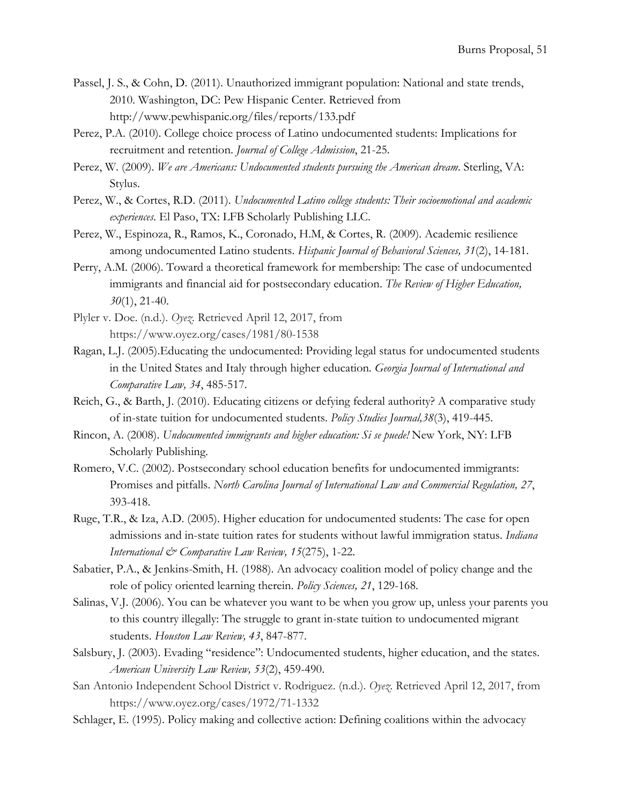- Passel, J. S., & Cohn, D. (2011). Unauthorized immigrant population: National and state trends, 2010. Washington, DC: Pew Hispanic Center. Retrieved from http://www.pewhispanic.org/files/reports/133.pdf
- Perez, P.A. (2010). College choice process of Latino undocumented students: Implications for recruitment and retention. *Journal of College Admission*, 21-25.
- Perez, W. (2009). *We are Americans: Undocumented students pursuing the American dream*. Sterling, VA: Stylus.
- Perez, W., & Cortes, R.D. (2011). *Undocumented Latino college students: Their socioemotional and academic experiences*. El Paso, TX: LFB Scholarly Publishing LLC.
- Perez, W., Espinoza, R., Ramos, K., Coronado, H.M, & Cortes, R. (2009). Academic resilience among undocumented Latino students. *Hispanic Journal of Behavioral Sciences, 31*(2), 14-181.
- Perry, A.M. (2006). Toward a theoretical framework for membership: The case of undocumented immigrants and financial aid for postsecondary education. *The Review of Higher Education, 30*(1), 21-40.
- Plyler v. Doe. (n.d.). *Oyez*. Retrieved April 12, 2017, from https://www.oyez.org/cases/1981/80-1538
- Ragan, L.J. (2005).Educating the undocumented: Providing legal status for undocumented students in the United States and Italy through higher education*. Georgia Journal of International and Comparative Law, 34*, 485-517.
- Reich, G., & Barth, J. (2010). Educating citizens or defying federal authority? A comparative study of in-state tuition for undocumented students. *Policy Studies Journal,38*(3), 419-445.
- Rincon, A. (2008). *Undocumented immigrants and higher education: Si se puede!* New York, NY: LFB Scholarly Publishing.
- Romero, V.C. (2002). Postsecondary school education benefits for undocumented immigrants: Promises and pitfalls. *North Carolina Journal of International Law and Commercial Regulation, 27*, 393-418.
- Ruge, T.R., & Iza, A.D. (2005). Higher education for undocumented students: The case for open admissions and in-state tuition rates for students without lawful immigration status. *Indiana International & Comparative Law Review, 15*(275), 1-22.
- Sabatier, P.A., & Jenkins-Smith, H. (1988). An advocacy coalition model of policy change and the role of policy oriented learning therein. *Policy Sciences, 21*, 129-168.
- Salinas, V.J. (2006). You can be whatever you want to be when you grow up, unless your parents you to this country illegally: The struggle to grant in-state tuition to undocumented migrant students. *Houston Law Review, 43*, 847-877.
- Salsbury, J. (2003). Evading "residence": Undocumented students, higher education, and the states. *American University Law Review, 53*(2), 459-490.
- San Antonio Independent School District v. Rodriguez. (n.d.). *Oyez*. Retrieved April 12, 2017, from https://www.oyez.org/cases/1972/71-1332
- Schlager, E. (1995). Policy making and collective action: Defining coalitions within the advocacy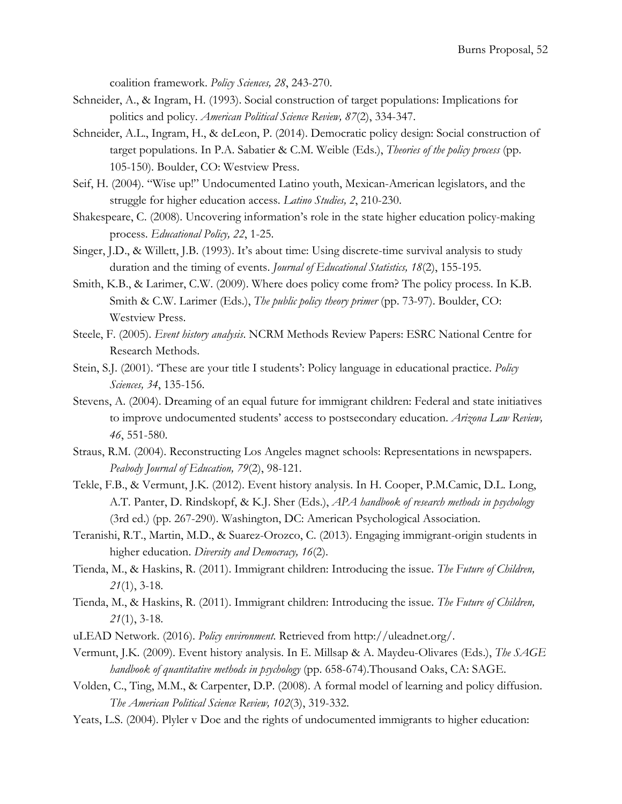coalition framework. *Policy Sciences, 28*, 243-270.

- Schneider, A., & Ingram, H. (1993). Social construction of target populations: Implications for politics and policy. *American Political Science Review, 87*(2), 334-347.
- Schneider, A.L., Ingram, H., & deLeon, P. (2014). Democratic policy design: Social construction of target populations. In P.A. Sabatier & C.M. Weible (Eds.), *Theories of the policy process* (pp. 105-150). Boulder, CO: Westview Press.
- Seif, H. (2004). "Wise up!" Undocumented Latino youth, Mexican-American legislators, and the struggle for higher education access. *Latino Studies, 2*, 210-230.
- Shakespeare, C. (2008). Uncovering information's role in the state higher education policy-making process. *Educational Policy, 22*, 1-25.
- Singer, J.D., & Willett, J.B. (1993). It's about time: Using discrete-time survival analysis to study duration and the timing of events. *Journal of Educational Statistics, 18*(2), 155-195.
- Smith, K.B., & Larimer, C.W. (2009). Where does policy come from? The policy process. In K.B. Smith & C.W. Larimer (Eds.), *The public policy theory primer* (pp. 73-97). Boulder, CO: Westview Press.
- Steele, F. (2005). *Event history analysis*. NCRM Methods Review Papers: ESRC National Centre for Research Methods.
- Stein, S.J. (2001). 'These are your title I students': Policy language in educational practice. *Policy Sciences, 34*, 135-156.
- Stevens, A. (2004). Dreaming of an equal future for immigrant children: Federal and state initiatives to improve undocumented students' access to postsecondary education. *Arizona Law Review, 46*, 551-580.
- Straus, R.M. (2004). Reconstructing Los Angeles magnet schools: Representations in newspapers. *Peabody Journal of Education, 79*(2), 98-121.
- Tekle, F.B., & Vermunt, J.K. (2012). Event history analysis. In H. Cooper, P.M.Camic, D.L. Long, A.T. Panter, D. Rindskopf, & K.J. Sher (Eds.), *APA handbook of research methods in psychology* (3rd ed.) (pp. 267-290). Washington, DC: American Psychological Association.
- Teranishi, R.T., Martin, M.D., & Suarez-Orozco, C. (2013). Engaging immigrant-origin students in higher education. *Diversity and Democracy, 16*(2).
- Tienda, M., & Haskins, R. (2011). Immigrant children: Introducing the issue. *The Future of Children, 21*(1), 3-18.
- Tienda, M., & Haskins, R. (2011). Immigrant children: Introducing the issue. *The Future of Children, 21*(1), 3-18.
- uLEAD Network. (2016). *Policy environment*. Retrieved from http://uleadnet.org/.
- Vermunt, J.K. (2009). Event history analysis. In E. Millsap & A. Maydeu-Olivares (Eds.), *The SAGE handbook of quantitative methods in psychology* (pp. 658-674).Thousand Oaks, CA: SAGE.
- Volden, C., Ting, M.M., & Carpenter, D.P. (2008). A formal model of learning and policy diffusion. *The American Political Science Review, 102*(3), 319-332.
- Yeats, L.S. (2004). Plyler v Doe and the rights of undocumented immigrants to higher education: